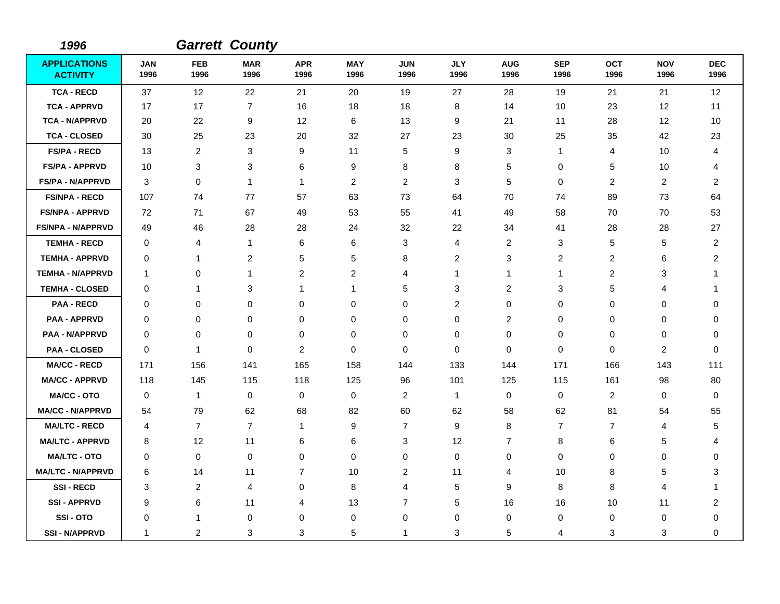| 1996                                   |                    |                    | <b>Garrett County</b> |                    |                    |                         |                    |                    |                    |                    |                    |                         |
|----------------------------------------|--------------------|--------------------|-----------------------|--------------------|--------------------|-------------------------|--------------------|--------------------|--------------------|--------------------|--------------------|-------------------------|
| <b>APPLICATIONS</b><br><b>ACTIVITY</b> | <b>JAN</b><br>1996 | <b>FEB</b><br>1996 | <b>MAR</b><br>1996    | <b>APR</b><br>1996 | <b>MAY</b><br>1996 | <b>JUN</b><br>1996      | <b>JLY</b><br>1996 | <b>AUG</b><br>1996 | <b>SEP</b><br>1996 | <b>OCT</b><br>1996 | <b>NOV</b><br>1996 | <b>DEC</b><br>1996      |
| <b>TCA - RECD</b>                      | 37                 | 12                 | 22                    | 21                 | 20                 | 19                      | 27                 | 28                 | 19                 | 21                 | 21                 | 12                      |
| <b>TCA - APPRVD</b>                    | 17                 | 17                 | $\overline{7}$        | 16                 | 18                 | 18                      | 8                  | 14                 | 10                 | 23                 | 12                 | 11                      |
| <b>TCA - N/APPRVD</b>                  | 20                 | 22                 | 9                     | 12                 | 6                  | 13                      | 9                  | 21                 | 11                 | 28                 | 12                 | 10                      |
| <b>TCA - CLOSED</b>                    | 30                 | 25                 | 23                    | 20                 | 32                 | 27                      | 23                 | 30                 | 25                 | 35                 | 42                 | 23                      |
| <b>FS/PA - RECD</b>                    | 13                 | 2                  | 3                     | 9                  | 11                 | 5                       | 9                  | 3                  | $\mathbf{1}$       | 4                  | 10                 | 4                       |
| <b>FS/PA - APPRVD</b>                  | 10                 | 3                  | 3                     | 6                  | 9                  | 8                       | 8                  | 5                  | $\mathbf 0$        | 5                  | 10                 | 4                       |
| <b>FS/PA - N/APPRVD</b>                | 3                  | 0                  | $\mathbf{1}$          | $\mathbf{1}$       | $\overline{2}$     | 2                       | 3                  | 5                  | $\mathbf 0$        | 2                  | 2                  | 2                       |
| <b>FS/NPA - RECD</b>                   | 107                | 74                 | 77                    | 57                 | 63                 | 73                      | 64                 | 70                 | 74                 | 89                 | 73                 | 64                      |
| <b>FS/NPA - APPRVD</b>                 | 72                 | 71                 | 67                    | 49                 | 53                 | 55                      | 41                 | 49                 | 58                 | 70                 | 70                 | 53                      |
| <b>FS/NPA - N/APPRVD</b>               | 49                 | 46                 | 28                    | 28                 | 24                 | 32                      | 22                 | 34                 | 41                 | 28                 | 28                 | 27                      |
| <b>TEMHA - RECD</b>                    | 0                  | 4                  | $\mathbf{1}$          | 6                  | 6                  | 3                       | 4                  | 2                  | 3                  | 5                  | 5                  | 2                       |
| <b>TEMHA - APPRVD</b>                  | 0                  | 1                  | $\overline{2}$        | 5                  | 5                  | 8                       | 2                  | 3                  | 2                  | 2                  | 6                  | 2                       |
| <b>TEMHA - N/APPRVD</b>                | 1                  | 0                  | $\mathbf{1}$          | 2                  | 2                  | 4                       | 1                  | $\mathbf{1}$       | 1                  | 2                  | 3                  | 1                       |
| <b>TEMHA - CLOSED</b>                  | 0                  | 1                  | 3                     | $\mathbf{1}$       | 1                  | 5                       | 3                  | 2                  | 3                  | 5                  | 4                  | 1                       |
| <b>PAA - RECD</b>                      | 0                  | 0                  | 0                     | 0                  | 0                  | $\Omega$                | 2                  | 0                  | $\mathbf 0$        | 0                  | 0                  | 0                       |
| <b>PAA - APPRVD</b>                    | 0                  | 0                  | 0                     | 0                  | 0                  | 0                       | 0                  | 2                  | $\mathbf 0$        | 0                  | 0                  | 0                       |
| <b>PAA - N/APPRVD</b>                  | $\mathbf 0$        | 0                  | $\mathbf 0$           | $\mathbf 0$        | 0                  | $\mathbf 0$             | $\mathbf 0$        | 0                  | $\mathbf 0$        | 0                  | 0                  | $\mathbf 0$             |
| <b>PAA - CLOSED</b>                    | 0                  | $\mathbf{1}$       | 0                     | $\overline{c}$     | 0                  | 0                       | 0                  | 0                  | 0                  | 0                  | $\overline{c}$     | 0                       |
| <b>MA/CC - RECD</b>                    | 171                | 156                | 141                   | 165                | 158                | 144                     | 133                | 144                | 171                | 166                | 143                | 111                     |
| <b>MA/CC - APPRVD</b>                  | 118                | 145                | 115                   | 118                | 125                | 96                      | 101                | 125                | 115                | 161                | 98                 | 80                      |
| <b>MA/CC - OTO</b>                     | $\mathbf 0$        | 1                  | 0                     | 0                  | 0                  | $\overline{c}$          | $\mathbf{1}$       | 0                  | 0                  | 2                  | $\mathbf 0$        | 0                       |
| <b>MA/CC - N/APPRVD</b>                | 54                 | 79                 | 62                    | 68                 | 82                 | 60                      | 62                 | 58                 | 62                 | 81                 | 54                 | 55                      |
| <b>MA/LTC - RECD</b>                   | 4                  | $\overline{7}$     | $\overline{7}$        | 1                  | 9                  | $\overline{7}$          | 9                  | 8                  | $\overline{7}$     | 7                  | $\overline{4}$     | 5                       |
| <b>MA/LTC - APPRVD</b>                 | 8                  | 12                 | 11                    | 6                  | 6                  | 3                       | 12                 | 7                  | 8                  | 6                  | 5                  | 4                       |
| <b>MA/LTC - OTO</b>                    | 0                  | 0                  | $\mathbf 0$           | 0                  | 0                  | 0                       | 0                  | 0                  | 0                  | 0                  | 0                  | $\Omega$                |
| <b>MA/LTC - N/APPRVD</b>               | 6                  | 14                 | 11                    | $\overline{7}$     | 10                 | $\overline{\mathbf{c}}$ | 11                 | 4                  | 10                 | 8                  | 5                  | 3                       |
| <b>SSI-RECD</b>                        | 3                  | 2                  | $\overline{4}$        | 0                  | 8                  | 4                       | 5                  | 9                  | 8                  | 8                  | 4                  | 1                       |
| <b>SSI-APPRVD</b>                      | 9                  | 6                  | 11                    | 4                  | 13                 | $\overline{7}$          | 5                  | 16                 | 16                 | 10                 | 11                 | $\overline{\mathbf{c}}$ |
| SSI-OTO                                | $\mathbf 0$        | 1                  | 0                     | 0                  | 0                  | 0                       | 0                  | 0                  | 0                  | 0                  | 0                  | 0                       |
| <b>SSI - N/APPRVD</b>                  | 1                  | 2                  | 3                     | 3                  | 5                  | 1                       | 3                  | 5                  | 4                  | 3                  | 3                  | 0                       |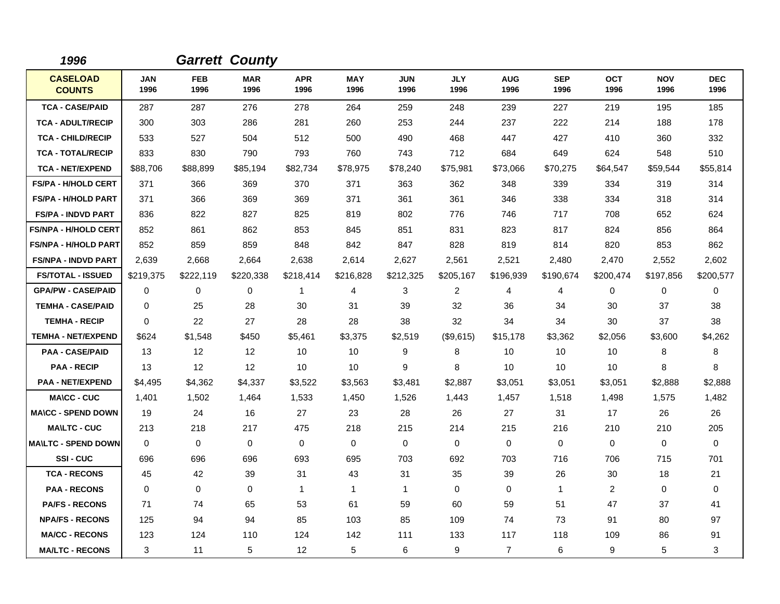| 1996                             |                    |                    | <b>Garrett County</b> |                    |                    |                    |                    |                    |                    |                    |                    |                    |
|----------------------------------|--------------------|--------------------|-----------------------|--------------------|--------------------|--------------------|--------------------|--------------------|--------------------|--------------------|--------------------|--------------------|
| <b>CASELOAD</b><br><b>COUNTS</b> | <b>JAN</b><br>1996 | <b>FEB</b><br>1996 | <b>MAR</b><br>1996    | <b>APR</b><br>1996 | <b>MAY</b><br>1996 | <b>JUN</b><br>1996 | <b>JLY</b><br>1996 | <b>AUG</b><br>1996 | <b>SEP</b><br>1996 | <b>OCT</b><br>1996 | <b>NOV</b><br>1996 | <b>DEC</b><br>1996 |
| <b>TCA - CASE/PAID</b>           | 287                | 287                | 276                   | 278                | 264                | 259                | 248                | 239                | 227                | 219                | 195                | 185                |
| <b>TCA - ADULT/RECIP</b>         | 300                | 303                | 286                   | 281                | 260                | 253                | 244                | 237                | 222                | 214                | 188                | 178                |
| <b>TCA - CHILD/RECIP</b>         | 533                | 527                | 504                   | 512                | 500                | 490                | 468                | 447                | 427                | 410                | 360                | 332                |
| <b>TCA - TOTAL/RECIP</b>         | 833                | 830                | 790                   | 793                | 760                | 743                | 712                | 684                | 649                | 624                | 548                | 510                |
| <b>TCA - NET/EXPEND</b>          | \$88,706           | \$88,899           | \$85,194              | \$82,734           | \$78,975           | \$78,240           | \$75,981           | \$73,066           | \$70,275           | \$64,547           | \$59,544           | \$55,814           |
| FS/PA - H/HOLD CERT              | 371                | 366                | 369                   | 370                | 371                | 363                | 362                | 348                | 339                | 334                | 319                | 314                |
| <b>FS/PA - H/HOLD PART</b>       | 371                | 366                | 369                   | 369                | 371                | 361                | 361                | 346                | 338                | 334                | 318                | 314                |
| <b>FS/PA - INDVD PART</b>        | 836                | 822                | 827                   | 825                | 819                | 802                | 776                | 746                | 717                | 708                | 652                | 624                |
| <b>FS/NPA - H/HOLD CERT</b>      | 852                | 861                | 862                   | 853                | 845                | 851                | 831                | 823                | 817                | 824                | 856                | 864                |
| <b>FS/NPA - H/HOLD PART</b>      | 852                | 859                | 859                   | 848                | 842                | 847                | 828                | 819                | 814                | 820                | 853                | 862                |
| <b>FS/NPA - INDVD PART</b>       | 2,639              | 2,668              | 2,664                 | 2,638              | 2,614              | 2,627              | 2,561              | 2,521              | 2,480              | 2,470              | 2,552              | 2,602              |
| <b>FS/TOTAL - ISSUED</b>         | \$219,375          | \$222,119          | \$220,338             | \$218,414          | \$216,828          | \$212,325          | \$205,167          | \$196,939          | \$190,674          | \$200,474          | \$197,856          | \$200,577          |
| <b>GPA/PW - CASE/PAID</b>        | $\mathbf 0$        | 0                  | $\mathbf 0$           | 1                  | 4                  | 3                  | 2                  | 4                  | 4                  | 0                  | 0                  | 0                  |
| <b>TEMHA - CASE/PAID</b>         | $\Omega$           | 25                 | 28                    | 30                 | 31                 | 39                 | 32                 | 36                 | 34                 | 30                 | 37                 | 38                 |
| <b>TEMHA - RECIP</b>             | $\Omega$           | 22                 | 27                    | 28                 | 28                 | 38                 | 32                 | 34                 | 34                 | 30                 | 37                 | 38                 |
| <b>TEMHA - NET/EXPEND</b>        | \$624              | \$1,548            | \$450                 | \$5,461            | \$3,375            | \$2,519            | (\$9,615)          | \$15,178           | \$3,362            | \$2,056            | \$3,600            | \$4,262            |
| <b>PAA - CASE/PAID</b>           | 13                 | 12                 | 12                    | 10                 | 10                 | 9                  | 8                  | 10                 | 10                 | 10                 | 8                  | 8                  |
| <b>PAA - RECIP</b>               | 13                 | 12                 | 12                    | 10                 | 10                 | 9                  | 8                  | 10                 | 10                 | 10                 | 8                  | 8                  |
| <b>PAA - NET/EXPEND</b>          | \$4,495            | \$4,362            | \$4,337               | \$3,522            | \$3,563            | \$3,481            | \$2,887            | \$3,051            | \$3,051            | \$3,051            | \$2,888            | \$2,888            |
| <b>MA\CC - CUC</b>               | 1,401              | 1,502              | 1,464                 | 1,533              | 1,450              | 1,526              | 1,443              | 1,457              | 1,518              | 1,498              | 1,575              | 1,482              |
| <b>MA\CC - SPEND DOWN</b>        | 19                 | 24                 | 16                    | 27                 | 23                 | 28                 | 26                 | 27                 | 31                 | 17                 | 26                 | 26                 |
| <b>MA\LTC - CUC</b>              | 213                | 218                | 217                   | 475                | 218                | 215                | 214                | 215                | 216                | 210                | 210                | 205                |
| <b>MA\LTC - SPEND DOWN</b>       | $\Omega$           | $\Omega$           | $\mathbf 0$           | $\mathbf{0}$       | $\mathbf 0$        | $\Omega$           | $\Omega$           | 0                  | $\Omega$           | 0                  | $\mathbf 0$        | 0                  |
| <b>SSI-CUC</b>                   | 696                | 696                | 696                   | 693                | 695                | 703                | 692                | 703                | 716                | 706                | 715                | 701                |
| <b>TCA - RECONS</b>              | 45                 | 42                 | 39                    | 31                 | 43                 | 31                 | 35                 | 39                 | 26                 | 30                 | 18                 | 21                 |
| <b>PAA - RECONS</b>              | $\Omega$           | 0                  | $\mathbf 0$           | 1                  | $\mathbf{1}$       | $\mathbf{1}$       | $\mathbf 0$        | 0                  | 1                  | 2                  | 0                  | $\mathbf 0$        |
| <b>PA/FS - RECONS</b>            | 71                 | 74                 | 65                    | 53                 | 61                 | 59                 | 60                 | 59                 | 51                 | 47                 | 37                 | 41                 |
| <b>NPA/FS - RECONS</b>           | 125                | 94                 | 94                    | 85                 | 103                | 85                 | 109                | 74                 | 73                 | 91                 | 80                 | 97                 |
| <b>MA/CC - RECONS</b>            | 123                | 124                | 110                   | 124                | 142                | 111                | 133                | 117                | 118                | 109                | 86                 | 91                 |
| <b>MA/LTC - RECONS</b>           | 3                  | 11                 | 5                     | 12                 | 5                  | 6                  | 9                  | $\overline{7}$     | 6                  | 9                  | 5                  | 3                  |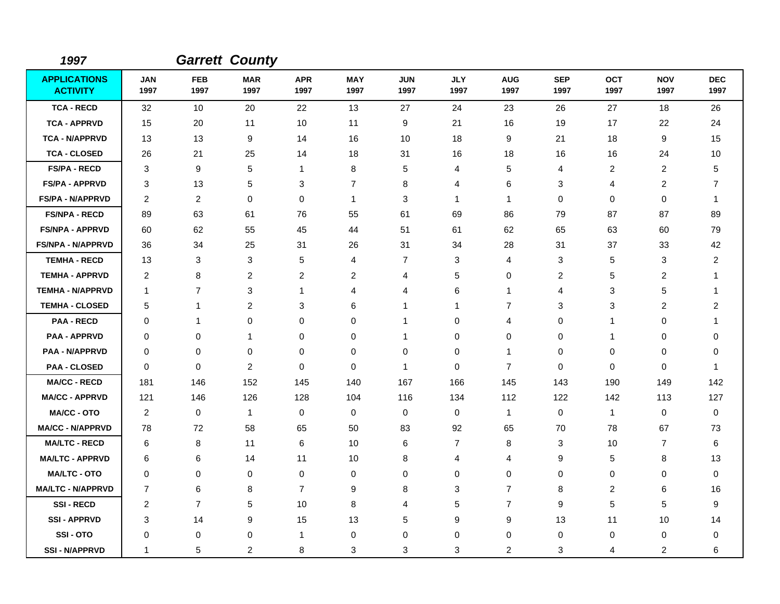| 1997                                   |                    |                    | <b>Garrett County</b> |                    |                    |                    |                    |                    |                    |                    |                    |                    |
|----------------------------------------|--------------------|--------------------|-----------------------|--------------------|--------------------|--------------------|--------------------|--------------------|--------------------|--------------------|--------------------|--------------------|
| <b>APPLICATIONS</b><br><b>ACTIVITY</b> | <b>JAN</b><br>1997 | <b>FEB</b><br>1997 | <b>MAR</b><br>1997    | <b>APR</b><br>1997 | <b>MAY</b><br>1997 | <b>JUN</b><br>1997 | <b>JLY</b><br>1997 | <b>AUG</b><br>1997 | <b>SEP</b><br>1997 | <b>OCT</b><br>1997 | <b>NOV</b><br>1997 | <b>DEC</b><br>1997 |
| <b>TCA - RECD</b>                      | 32                 | 10                 | 20                    | 22                 | 13                 | 27                 | 24                 | 23                 | 26                 | 27                 | 18                 | 26                 |
| <b>TCA - APPRVD</b>                    | 15                 | 20                 | 11                    | 10                 | 11                 | 9                  | 21                 | 16                 | 19                 | 17                 | 22                 | 24                 |
| <b>TCA - N/APPRVD</b>                  | 13                 | 13                 | 9                     | 14                 | 16                 | 10                 | 18                 | 9                  | 21                 | 18                 | 9                  | 15                 |
| <b>TCA - CLOSED</b>                    | 26                 | 21                 | 25                    | 14                 | 18                 | 31                 | 16                 | 18                 | 16                 | 16                 | 24                 | 10                 |
| <b>FS/PA - RECD</b>                    | 3                  | 9                  | 5                     | $\mathbf{1}$       | 8                  | 5                  | 4                  | 5                  | 4                  | $\overline{2}$     | $\overline{c}$     | 5                  |
| <b>FS/PA - APPRVD</b>                  | 3                  | 13                 | 5                     | 3                  | 7                  | 8                  | 4                  | 6                  | 3                  | 4                  | $\overline{c}$     | $\overline{7}$     |
| <b>FS/PA - N/APPRVD</b>                | 2                  | 2                  | 0                     | 0                  | $\mathbf{1}$       | 3                  | $\mathbf 1$        | 1                  | $\mathbf 0$        | $\mathbf 0$        | 0                  | 1                  |
| <b>FS/NPA - RECD</b>                   | 89                 | 63                 | 61                    | 76                 | 55                 | 61                 | 69                 | 86                 | 79                 | 87                 | 87                 | 89                 |
| <b>FS/NPA - APPRVD</b>                 | 60                 | 62                 | 55                    | 45                 | 44                 | 51                 | 61                 | 62                 | 65                 | 63                 | 60                 | 79                 |
| FS/NPA - N/APPRVD                      | 36                 | 34                 | 25                    | 31                 | 26                 | 31                 | 34                 | 28                 | 31                 | 37                 | 33                 | 42                 |
| <b>TEMHA - RECD</b>                    | 13                 | 3                  | 3                     | 5                  | 4                  | 7                  | 3                  | 4                  | 3                  | 5                  | 3                  | 2                  |
| <b>TEMHA - APPRVD</b>                  | $\overline{c}$     | 8                  | $\overline{c}$        | $\overline{2}$     | 2                  | 4                  | 5                  | 0                  | 2                  | 5                  | $\overline{c}$     | 1                  |
| <b>TEMHA - N/APPRVD</b>                | $\mathbf 1$        | $\overline{7}$     | 3                     | $\mathbf{1}$       | 4                  | 4                  | 6                  | $\mathbf{1}$       | 4                  | 3                  | 5                  |                    |
| <b>TEMHA - CLOSED</b>                  | 5                  | $\mathbf{1}$       | $\overline{c}$        | 3                  | 6                  | $\mathbf{1}$       | $\mathbf{1}$       | 7                  | 3                  | 3                  | $\overline{c}$     | $\overline{c}$     |
| <b>PAA - RECD</b>                      | 0                  | 1                  | 0                     | 0                  | 0                  | 1                  | 0                  | 4                  | 0                  | 1                  | 0                  |                    |
| <b>PAA - APPRVD</b>                    | 0                  | 0                  | 1                     | 0                  | 0                  | 1                  | 0                  | 0                  | 0                  | 1                  | 0                  | 0                  |
| PAA - N/APPRVD                         | 0                  | $\mathbf 0$        | 0                     | $\mathbf 0$        | 0                  | $\mathbf 0$        | 0                  | $\mathbf{1}$       | 0                  | 0                  | 0                  | 0                  |
| <b>PAA - CLOSED</b>                    | 0                  | 0                  | $\overline{c}$        | 0                  | 0                  | $\mathbf 1$        | 0                  | $\overline{7}$     | 0                  | $\mathbf 0$        | 0                  | 1                  |
| <b>MA/CC - RECD</b>                    | 181                | 146                | 152                   | 145                | 140                | 167                | 166                | 145                | 143                | 190                | 149                | 142                |
| <b>MA/CC - APPRVD</b>                  | 121                | 146                | 126                   | 128                | 104                | 116                | 134                | 112                | 122                | 142                | 113                | 127                |
| <b>MA/CC - OTO</b>                     | $\overline{c}$     | 0                  | $\mathbf{1}$          | $\mathbf 0$        | $\mathbf 0$        | $\mathbf 0$        | 0                  | $\mathbf{1}$       | $\mathbf 0$        | $\mathbf{1}$       | $\mathbf 0$        | $\mathbf 0$        |
| <b>MA/CC - N/APPRVD</b>                | 78                 | 72                 | 58                    | 65                 | 50                 | 83                 | 92                 | 65                 | 70                 | 78                 | 67                 | 73                 |
| <b>MA/LTC - RECD</b>                   | 6                  | 8                  | 11                    | 6                  | 10                 | 6                  | $\overline{7}$     | 8                  | 3                  | 10                 | 7                  | 6                  |
| <b>MA/LTC - APPRVD</b>                 | 6                  | 6                  | 14                    | 11                 | 10                 | 8                  | 4                  | 4                  | 9                  | 5                  | 8                  | 13                 |
| <b>MA/LTC - OTO</b>                    | 0                  | $\mathbf 0$        | 0                     | $\mathbf 0$        | 0                  | $\mathbf 0$        | 0                  | $\mathbf 0$        | 0                  | $\mathbf 0$        | 0                  | $\mathbf 0$        |
| <b>MA/LTC - N/APPRVD</b>               | $\overline{7}$     | 6                  | 8                     | $\overline{7}$     | 9                  | 8                  | 3                  | $\overline{7}$     | 8                  | $\overline{c}$     | 6                  | 16                 |
| <b>SSI-RECD</b>                        | 2                  | $\overline{7}$     | 5                     | 10                 | 8                  | 4                  | 5                  | $\overline{7}$     | 9                  | 5                  | 5                  | 9                  |
| <b>SSI-APPRVD</b>                      | 3                  | 14                 | 9                     | 15                 | 13                 | 5                  | 9                  | 9                  | 13                 | 11                 | 10                 | 14                 |
| SSI-OTO                                | 0                  | 0                  | 0                     | $\mathbf{1}$       | 0                  | $\mathbf 0$        | 0                  | $\mathbf 0$        | 0                  | 0                  | $\mathbf 0$        | 0                  |
| <b>SSI - N/APPRVD</b>                  | 1                  | 5                  | $\overline{c}$        | 8                  | 3                  | 3                  | 3                  | $\overline{2}$     | 3                  | 4                  | $\overline{c}$     | 6                  |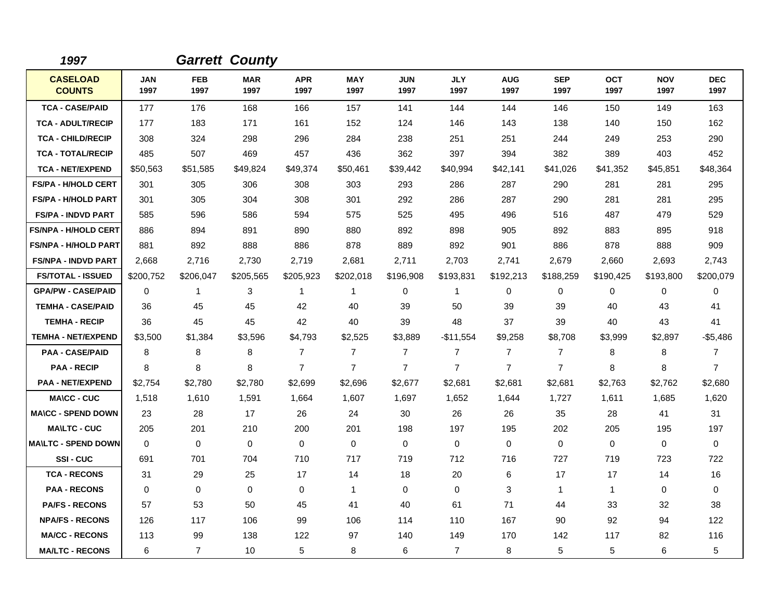| 1997                             |                    |                    | <b>Garrett County</b> |                    |                    |                    |                    |                    |                    |                    |                    |                    |
|----------------------------------|--------------------|--------------------|-----------------------|--------------------|--------------------|--------------------|--------------------|--------------------|--------------------|--------------------|--------------------|--------------------|
| <b>CASELOAD</b><br><b>COUNTS</b> | <b>JAN</b><br>1997 | <b>FEB</b><br>1997 | <b>MAR</b><br>1997    | <b>APR</b><br>1997 | <b>MAY</b><br>1997 | <b>JUN</b><br>1997 | <b>JLY</b><br>1997 | <b>AUG</b><br>1997 | <b>SEP</b><br>1997 | <b>OCT</b><br>1997 | <b>NOV</b><br>1997 | <b>DEC</b><br>1997 |
| <b>TCA - CASE/PAID</b>           | 177                | 176                | 168                   | 166                | 157                | 141                | 144                | 144                | 146                | 150                | 149                | 163                |
| <b>TCA - ADULT/RECIP</b>         | 177                | 183                | 171                   | 161                | 152                | 124                | 146                | 143                | 138                | 140                | 150                | 162                |
| <b>TCA - CHILD/RECIP</b>         | 308                | 324                | 298                   | 296                | 284                | 238                | 251                | 251                | 244                | 249                | 253                | 290                |
| <b>TCA - TOTAL/RECIP</b>         | 485                | 507                | 469                   | 457                | 436                | 362                | 397                | 394                | 382                | 389                | 403                | 452                |
| <b>TCA - NET/EXPEND</b>          | \$50,563           | \$51,585           | \$49,824              | \$49,374           | \$50,461           | \$39,442           | \$40,994           | \$42,141           | \$41,026           | \$41,352           | \$45,851           | \$48,364           |
| <b>FS/PA - H/HOLD CERT</b>       | 301                | 305                | 306                   | 308                | 303                | 293                | 286                | 287                | 290                | 281                | 281                | 295                |
| <b>FS/PA - H/HOLD PART</b>       | 301                | 305                | 304                   | 308                | 301                | 292                | 286                | 287                | 290                | 281                | 281                | 295                |
| <b>FS/PA - INDVD PART</b>        | 585                | 596                | 586                   | 594                | 575                | 525                | 495                | 496                | 516                | 487                | 479                | 529                |
| <b>FS/NPA - H/HOLD CERT</b>      | 886                | 894                | 891                   | 890                | 880                | 892                | 898                | 905                | 892                | 883                | 895                | 918                |
| <b>FS/NPA - H/HOLD PART</b>      | 881                | 892                | 888                   | 886                | 878                | 889                | 892                | 901                | 886                | 878                | 888                | 909                |
| <b>FS/NPA - INDVD PART</b>       | 2,668              | 2,716              | 2,730                 | 2,719              | 2,681              | 2,711              | 2,703              | 2,741              | 2,679              | 2,660              | 2,693              | 2,743              |
| <b>FS/TOTAL - ISSUED</b>         | \$200,752          | \$206,047          | \$205,565             | \$205,923          | \$202,018          | \$196,908          | \$193,831          | \$192,213          | \$188,259          | \$190,425          | \$193,800          | \$200,079          |
| <b>GPA/PW - CASE/PAID</b>        | 0                  | 1                  | 3                     | 1                  | 1                  | 0                  | 1                  | 0                  | 0                  | 0                  | 0                  | 0                  |
| <b>TEMHA - CASE/PAID</b>         | 36                 | 45                 | 45                    | 42                 | 40                 | 39                 | 50                 | 39                 | 39                 | 40                 | 43                 | 41                 |
| <b>TEMHA - RECIP</b>             | 36                 | 45                 | 45                    | 42                 | 40                 | 39                 | 48                 | 37                 | 39                 | 40                 | 43                 | 41                 |
| <b>TEMHA - NET/EXPEND</b>        | \$3,500            | \$1,384            | \$3,596               | \$4,793            | \$2,525            | \$3,889            | $-$11,554$         | \$9,258            | \$8,708            | \$3,999            | \$2,897            | $-$5,486$          |
| <b>PAA - CASE/PAID</b>           | 8                  | 8                  | 8                     | $\overline{7}$     | $\overline{7}$     | $\overline{7}$     | $\overline{7}$     | $\overline{7}$     | $\overline{7}$     | 8                  | 8                  | $\overline{7}$     |
| <b>PAA - RECIP</b>               | 8                  | 8                  | 8                     | $\overline{7}$     | $\overline{7}$     | $\overline{7}$     | $\overline{7}$     | $\overline{7}$     | $\overline{7}$     | 8                  | 8                  | $\overline{7}$     |
| <b>PAA - NET/EXPEND</b>          | \$2,754            | \$2,780            | \$2,780               | \$2,699            | \$2,696            | \$2,677            | \$2,681            | \$2,681            | \$2,681            | \$2,763            | \$2,762            | \$2,680            |
| <b>MA\CC - CUC</b>               | 1,518              | 1,610              | 1,591                 | 1,664              | 1,607              | 1,697              | 1,652              | 1,644              | 1,727              | 1,611              | 1,685              | 1,620              |
| <b>MA\CC - SPEND DOWN</b>        | 23                 | 28                 | 17                    | 26                 | 24                 | 30                 | 26                 | 26                 | 35                 | 28                 | 41                 | 31                 |
| <b>MA\LTC - CUC</b>              | 205                | 201                | 210                   | 200                | 201                | 198                | 197                | 195                | 202                | 205                | 195                | 197                |
| <b>MA\LTC - SPEND DOWN</b>       | $\mathbf 0$        | 0                  | $\mathbf 0$           | $\mathbf 0$        | $\mathbf 0$        | $\mathbf 0$        | 0                  | $\mathbf 0$        | $\Omega$           | 0                  | 0                  | 0                  |
| <b>SSI-CUC</b>                   | 691                | 701                | 704                   | 710                | 717                | 719                | 712                | 716                | 727                | 719                | 723                | 722                |
| <b>TCA - RECONS</b>              | 31                 | 29                 | 25                    | 17                 | 14                 | 18                 | 20                 | 6                  | 17                 | 17                 | 14                 | 16                 |
| <b>PAA - RECONS</b>              | $\mathbf 0$        | 0                  | $\mathbf 0$           | $\mathbf 0$        | $\mathbf{1}$       | $\mathbf 0$        | 0                  | 3                  | $\mathbf{1}$       | $\mathbf 1$        | 0                  | $\mathbf 0$        |
| <b>PA/FS - RECONS</b>            | 57                 | 53                 | 50                    | 45                 | 41                 | 40                 | 61                 | 71                 | 44                 | 33                 | 32                 | 38                 |
| <b>NPA/FS - RECONS</b>           | 126                | 117                | 106                   | 99                 | 106                | 114                | 110                | 167                | 90                 | 92                 | 94                 | 122                |
| <b>MA/CC - RECONS</b>            | 113                | 99                 | 138                   | 122                | 97                 | 140                | 149                | 170                | 142                | 117                | 82                 | 116                |
| <b>MA/LTC - RECONS</b>           | 6                  | 7                  | 10                    | 5                  | 8                  | 6                  | $\overline{7}$     | 8                  | 5                  | 5                  | 6                  | 5                  |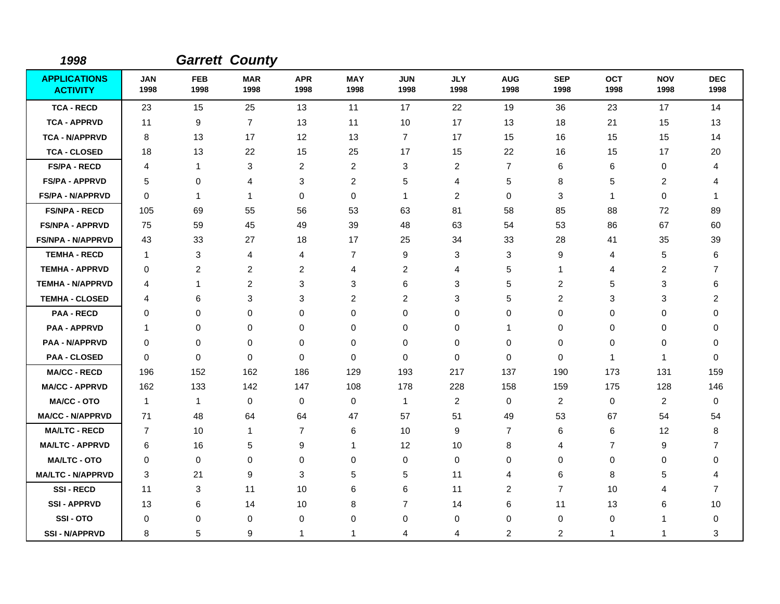| 1998                                   |                    |                    | <b>Garrett County</b> |                    |                         |                    |                    |                    |                    |                    |                    |                    |
|----------------------------------------|--------------------|--------------------|-----------------------|--------------------|-------------------------|--------------------|--------------------|--------------------|--------------------|--------------------|--------------------|--------------------|
| <b>APPLICATIONS</b><br><b>ACTIVITY</b> | <b>JAN</b><br>1998 | <b>FEB</b><br>1998 | <b>MAR</b><br>1998    | <b>APR</b><br>1998 | <b>MAY</b><br>1998      | <b>JUN</b><br>1998 | <b>JLY</b><br>1998 | <b>AUG</b><br>1998 | <b>SEP</b><br>1998 | <b>OCT</b><br>1998 | <b>NOV</b><br>1998 | <b>DEC</b><br>1998 |
| <b>TCA - RECD</b>                      | 23                 | 15                 | 25                    | 13                 | 11                      | 17                 | 22                 | 19                 | 36                 | 23                 | 17                 | 14                 |
| <b>TCA - APPRVD</b>                    | 11                 | 9                  | $\overline{7}$        | 13                 | 11                      | 10                 | 17                 | 13                 | 18                 | 21                 | 15                 | 13                 |
| <b>TCA - N/APPRVD</b>                  | 8                  | 13                 | 17                    | $12 \overline{ }$  | 13                      | $\overline{7}$     | 17                 | 15                 | 16                 | 15                 | 15                 | 14                 |
| <b>TCA - CLOSED</b>                    | 18                 | 13                 | 22                    | 15                 | 25                      | 17                 | 15                 | 22                 | 16                 | 15                 | 17                 | 20                 |
| <b>FS/PA - RECD</b>                    | 4                  | $\mathbf{1}$       | 3                     | $\overline{c}$     | $\overline{\mathbf{c}}$ | 3                  | 2                  | $\overline{7}$     | 6                  | 6                  | $\mathbf 0$        | 4                  |
| <b>FS/PA - APPRVD</b>                  | 5                  | 0                  | 4                     | 3                  | 2                       | 5                  | 4                  | 5                  | 8                  | 5                  | 2                  | 4                  |
| <b>FS/PA - N/APPRVD</b>                | 0                  | $\mathbf{1}$       | 1                     | 0                  | 0                       | 1                  | 2                  | 0                  | 3                  | $\mathbf{1}$       | 0                  | 1                  |
| <b>FS/NPA - RECD</b>                   | 105                | 69                 | 55                    | 56                 | 53                      | 63                 | 81                 | 58                 | 85                 | 88                 | 72                 | 89                 |
| <b>FS/NPA - APPRVD</b>                 | 75                 | 59                 | 45                    | 49                 | 39                      | 48                 | 63                 | 54                 | 53                 | 86                 | 67                 | 60                 |
| <b>FS/NPA - N/APPRVD</b>               | 43                 | 33                 | 27                    | 18                 | 17                      | 25                 | 34                 | 33                 | 28                 | 41                 | 35                 | 39                 |
| <b>TEMHA - RECD</b>                    | $\mathbf{1}$       | 3                  | 4                     | 4                  | $\overline{7}$          | 9                  | 3                  | 3                  | 9                  | $\overline{4}$     | 5                  | 6                  |
| <b>TEMHA - APPRVD</b>                  | 0                  | $\overline{c}$     | $\overline{c}$        | $\overline{c}$     | 4                       | $\overline{c}$     | 4                  | 5                  | 1                  | $\overline{4}$     | $\overline{c}$     | $\overline{7}$     |
| <b>TEMHA - N/APPRVD</b>                | 4                  | 1                  | $\overline{c}$        | 3                  | 3                       | 6                  | 3                  | 5                  | $\overline{c}$     | 5                  | 3                  | 6                  |
| <b>TEMHA - CLOSED</b>                  | 4                  | 6                  | 3                     | 3                  | $\overline{2}$          | 2                  | 3                  | 5                  | 2                  | 3                  | 3                  | $\overline{c}$     |
| <b>PAA - RECD</b>                      | 0                  | $\mathbf 0$        | 0                     | $\mathbf 0$        | 0                       | $\mathbf 0$        | 0                  | 0                  | $\mathbf 0$        | $\mathbf 0$        | $\mathbf 0$        | $\mathbf 0$        |
| <b>PAA - APPRVD</b>                    | 1                  | $\mathbf 0$        | 0                     | 0                  | 0                       | $\mathbf 0$        | 0                  | 1                  | 0                  | $\pmb{0}$          | $\mathbf 0$        | 0                  |
| <b>PAA - N/APPRVD</b>                  | 0                  | $\mathbf 0$        | 0                     | $\mathbf 0$        | 0                       | $\mathbf 0$        | $\mathbf 0$        | 0                  | $\mathbf 0$        | $\pmb{0}$          | $\mathbf 0$        | 0                  |
| <b>PAA - CLOSED</b>                    | 0                  | $\mathbf 0$        | $\mathbf 0$           | 0                  | 0                       | $\mathbf 0$        | $\mathbf 0$        | $\mathbf 0$        | 0                  | $\mathbf{1}$       | 1                  | 0                  |
| <b>MA/CC - RECD</b>                    | 196                | 152                | 162                   | 186                | 129                     | 193                | 217                | 137                | 190                | 173                | 131                | 159                |
| <b>MA/CC - APPRVD</b>                  | 162                | 133                | 142                   | 147                | 108                     | 178                | 228                | 158                | 159                | 175                | 128                | 146                |
| <b>MA/CC - OTO</b>                     | $\mathbf{1}$       | $\mathbf{1}$       | $\mathbf 0$           | 0                  | 0                       | $\mathbf{1}$       | $\overline{c}$     | $\mathbf 0$        | $\overline{2}$     | $\mathbf 0$        | $\overline{2}$     | 0                  |
| <b>MA/CC - N/APPRVD</b>                | 71                 | 48                 | 64                    | 64                 | 47                      | 57                 | 51                 | 49                 | 53                 | 67                 | 54                 | 54                 |
| <b>MA/LTC - RECD</b>                   | $\overline{7}$     | 10                 | $\mathbf{1}$          | $\overline{7}$     | 6                       | 10                 | 9                  | 7                  | 6                  | 6                  | 12                 | 8                  |
| <b>MA/LTC - APPRVD</b>                 | 6                  | 16                 | 5                     | 9                  | 1                       | 12                 | 10                 | 8                  | 4                  | $\overline{7}$     | 9                  | 7                  |
| <b>MA/LTC - OTO</b>                    | $\Omega$           | 0                  | 0                     | 0                  | 0                       | $\mathbf 0$        | 0                  | 0                  | $\Omega$           | 0                  | $\mathbf 0$        | 0                  |
| <b>MA/LTC - N/APPRVD</b>               | 3                  | 21                 | 9                     | 3                  | 5                       | 5                  | 11                 | 4                  | 6                  | 8                  | 5                  | 4                  |
| <b>SSI-RECD</b>                        | 11                 | 3                  | 11                    | 10                 | 6                       | 6                  | 11                 | $\overline{2}$     | $\overline{7}$     | 10                 | 4                  | $\overline{7}$     |
| <b>SSI-APPRVD</b>                      | 13                 | 6                  | 14                    | 10                 | 8                       | $\overline{7}$     | 14                 | 6                  | 11                 | 13                 | 6                  | 10                 |
| SSI-OTO                                | 0                  | 0                  | 0                     | 0                  | 0                       | 0                  | 0                  | $\mathbf 0$        | $\mathbf 0$        | 0                  | 1                  | 0                  |
| <b>SSI-N/APPRVD</b>                    | 8                  | 5                  | 9                     | -1                 | 1                       | 4                  | 4                  | 2                  | 2                  | $\mathbf{1}$       | 1                  | 3                  |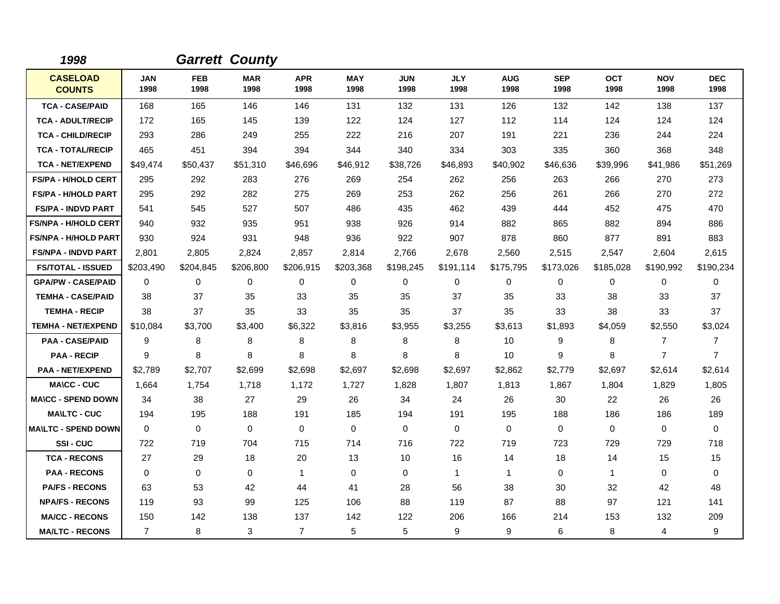| 1998                             |                    |                    | <b>Garrett County</b> |                    |                    |                    |                    |                    |                    |                    |                    |                    |
|----------------------------------|--------------------|--------------------|-----------------------|--------------------|--------------------|--------------------|--------------------|--------------------|--------------------|--------------------|--------------------|--------------------|
| <b>CASELOAD</b><br><b>COUNTS</b> | <b>JAN</b><br>1998 | <b>FEB</b><br>1998 | <b>MAR</b><br>1998    | <b>APR</b><br>1998 | <b>MAY</b><br>1998 | <b>JUN</b><br>1998 | <b>JLY</b><br>1998 | <b>AUG</b><br>1998 | <b>SEP</b><br>1998 | <b>OCT</b><br>1998 | <b>NOV</b><br>1998 | <b>DEC</b><br>1998 |
| <b>TCA - CASE/PAID</b>           | 168                | 165                | 146                   | 146                | 131                | 132                | 131                | 126                | 132                | 142                | 138                | 137                |
| <b>TCA - ADULT/RECIP</b>         | 172                | 165                | 145                   | 139                | 122                | 124                | 127                | 112                | 114                | 124                | 124                | 124                |
| <b>TCA - CHILD/RECIP</b>         | 293                | 286                | 249                   | 255                | 222                | 216                | 207                | 191                | 221                | 236                | 244                | 224                |
| <b>TCA - TOTAL/RECIP</b>         | 465                | 451                | 394                   | 394                | 344                | 340                | 334                | 303                | 335                | 360                | 368                | 348                |
| <b>TCA - NET/EXPEND</b>          | \$49,474           | \$50,437           | \$51,310              | \$46,696           | \$46,912           | \$38,726           | \$46,893           | \$40,902           | \$46,636           | \$39,996           | \$41,986           | \$51,269           |
| <b>FS/PA - H/HOLD CERT</b>       | 295                | 292                | 283                   | 276                | 269                | 254                | 262                | 256                | 263                | 266                | 270                | 273                |
| <b>FS/PA - H/HOLD PART</b>       | 295                | 292                | 282                   | 275                | 269                | 253                | 262                | 256                | 261                | 266                | 270                | 272                |
| <b>FS/PA - INDVD PART</b>        | 541                | 545                | 527                   | 507                | 486                | 435                | 462                | 439                | 444                | 452                | 475                | 470                |
| <b>FS/NPA - H/HOLD CERT</b>      | 940                | 932                | 935                   | 951                | 938                | 926                | 914                | 882                | 865                | 882                | 894                | 886                |
| <b>FS/NPA - H/HOLD PART</b>      | 930                | 924                | 931                   | 948                | 936                | 922                | 907                | 878                | 860                | 877                | 891                | 883                |
| <b>FS/NPA - INDVD PART</b>       | 2,801              | 2,805              | 2,824                 | 2,857              | 2,814              | 2,766              | 2,678              | 2,560              | 2,515              | 2,547              | 2,604              | 2,615              |
| <b>FS/TOTAL - ISSUED</b>         | \$203,490          | \$204,845          | \$206,800             | \$206,915          | \$203,368          | \$198,245          | \$191,114          | \$175,795          | \$173,026          | \$185,028          | \$190,992          | \$190,234          |
| <b>GPA/PW - CASE/PAID</b>        | $\Omega$           | $\Omega$           | 0                     | 0                  | 0                  | $\Omega$           | $\Omega$           | 0                  | $\Omega$           | $\Omega$           | 0                  | $\Omega$           |
| <b>TEMHA - CASE/PAID</b>         | 38                 | 37                 | 35                    | 33                 | 35                 | 35                 | 37                 | 35                 | 33                 | 38                 | 33                 | 37                 |
| <b>TEMHA - RECIP</b>             | 38                 | 37                 | 35                    | 33                 | 35                 | 35                 | 37                 | 35                 | 33                 | 38                 | 33                 | 37                 |
| <b>TEMHA - NET/EXPEND</b>        | \$10,084           | \$3,700            | \$3,400               | \$6,322            | \$3,816            | \$3,955            | \$3,255            | \$3,613            | \$1,893            | \$4,059            | \$2,550            | \$3,024            |
| <b>PAA - CASE/PAID</b>           | 9                  | 8                  | 8                     | 8                  | 8                  | 8                  | 8                  | 10                 | 9                  | 8                  | $\overline{7}$     | $\overline{7}$     |
| <b>PAA - RECIP</b>               | 9                  | 8                  | 8                     | 8                  | 8                  | 8                  | 8                  | 10                 | 9                  | 8                  | $\overline{7}$     | $\overline{7}$     |
| <b>PAA - NET/EXPEND</b>          | \$2,789            | \$2,707            | \$2,699               | \$2,698            | \$2,697            | \$2,698            | \$2,697            | \$2,862            | \$2,779            | \$2,697            | \$2,614            | \$2,614            |
| <b>MA\CC - CUC</b>               | 1.664              | 1,754              | 1,718                 | 1,172              | 1,727              | 1,828              | 1,807              | 1,813              | 1,867              | 1,804              | 1,829              | 1,805              |
| <b>MA\CC - SPEND DOWN</b>        | 34                 | 38                 | 27                    | 29                 | 26                 | 34                 | 24                 | 26                 | 30                 | 22                 | 26                 | 26                 |
| <b>MA\LTC - CUC</b>              | 194                | 195                | 188                   | 191                | 185                | 194                | 191                | 195                | 188                | 186                | 186                | 189                |
| <b>MA\LTC - SPEND DOWN</b>       | $\mathbf{0}$       | 0                  | $\mathbf 0$           | $\mathbf{0}$       | $\mathbf 0$        | $\Omega$           | $\Omega$           | 0                  | $\Omega$           | $\Omega$           | 0                  | $\Omega$           |
| SSI-CUC                          | 722                | 719                | 704                   | 715                | 714                | 716                | 722                | 719                | 723                | 729                | 729                | 718                |
| <b>TCA - RECONS</b>              | 27                 | 29                 | 18                    | 20                 | 13                 | 10                 | 16                 | 14                 | 18                 | 14                 | 15                 | 15                 |
| <b>PAA - RECONS</b>              | $\Omega$           | $\Omega$           | $\Omega$              | $\mathbf{1}$       | 0                  | $\Omega$           | $\mathbf{1}$       | 1                  | 0                  | $\mathbf 1$        | 0                  | 0                  |
| <b>PA/FS - RECONS</b>            | 63                 | 53                 | 42                    | 44                 | 41                 | 28                 | 56                 | 38                 | 30                 | 32                 | 42                 | 48                 |
| <b>NPA/FS - RECONS</b>           | 119                | 93                 | 99                    | 125                | 106                | 88                 | 119                | 87                 | 88                 | 97                 | 121                | 141                |
| <b>MA/CC - RECONS</b>            | 150                | 142                | 138                   | 137                | 142                | 122                | 206                | 166                | 214                | 153                | 132                | 209                |
| <b>MA/LTC - RECONS</b>           | $\overline{7}$     | 8                  | 3                     | $\overline{7}$     | 5                  | 5                  | 9                  | 9                  | 6                  | 8                  | 4                  | 9                  |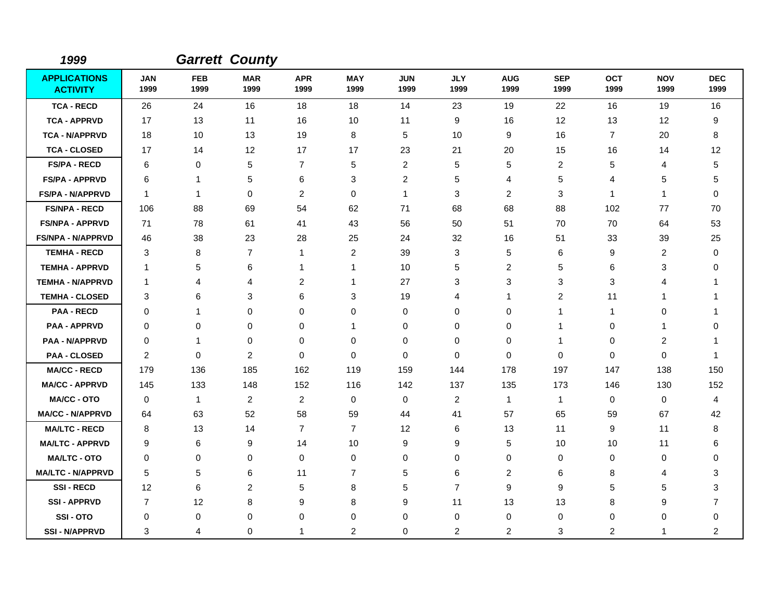| 1999                                   |                    |                    | <b>Garrett County</b> |                    |                    |                    |                    |                    |                    |                    |                    |                    |
|----------------------------------------|--------------------|--------------------|-----------------------|--------------------|--------------------|--------------------|--------------------|--------------------|--------------------|--------------------|--------------------|--------------------|
| <b>APPLICATIONS</b><br><b>ACTIVITY</b> | <b>JAN</b><br>1999 | <b>FEB</b><br>1999 | <b>MAR</b><br>1999    | <b>APR</b><br>1999 | <b>MAY</b><br>1999 | <b>JUN</b><br>1999 | <b>JLY</b><br>1999 | <b>AUG</b><br>1999 | <b>SEP</b><br>1999 | <b>OCT</b><br>1999 | <b>NOV</b><br>1999 | <b>DEC</b><br>1999 |
| <b>TCA - RECD</b>                      | 26                 | 24                 | 16                    | 18                 | 18                 | 14                 | 23                 | 19                 | 22                 | 16                 | 19                 | 16                 |
| <b>TCA - APPRVD</b>                    | 17                 | 13                 | 11                    | 16                 | 10                 | 11                 | 9                  | 16                 | 12                 | 13                 | 12                 | 9                  |
| <b>TCA - N/APPRVD</b>                  | 18                 | 10                 | 13                    | 19                 | 8                  | 5                  | 10                 | 9                  | 16                 | $\overline{7}$     | 20                 | 8                  |
| <b>TCA - CLOSED</b>                    | 17                 | 14                 | 12                    | 17                 | 17                 | 23                 | 21                 | 20                 | 15                 | 16                 | 14                 | 12                 |
| <b>FS/PA - RECD</b>                    | 6                  | 0                  | 5                     | $\overline{7}$     | 5                  | $\overline{2}$     | 5                  | 5                  | $\overline{2}$     | 5                  | $\overline{4}$     | 5                  |
| <b>FS/PA - APPRVD</b>                  | 6                  | $\mathbf{1}$       | 5                     | 6                  | 3                  | 2                  | 5                  | 4                  | 5                  | 4                  | 5                  | 5                  |
| <b>FS/PA - N/APPRVD</b>                | $\mathbf{1}$       | $\mathbf{1}$       | $\Omega$              | $\overline{2}$     | 0                  | $\mathbf{1}$       | 3                  | 2                  | 3                  | $\mathbf 1$        | -1                 | 0                  |
| <b>FS/NPA - RECD</b>                   | 106                | 88                 | 69                    | 54                 | 62                 | 71                 | 68                 | 68                 | 88                 | 102                | 77                 | 70                 |
| <b>FS/NPA - APPRVD</b>                 | 71                 | 78                 | 61                    | 41                 | 43                 | 56                 | 50                 | 51                 | 70                 | 70                 | 64                 | 53                 |
| <b>FS/NPA - N/APPRVD</b>               | 46                 | 38                 | 23                    | 28                 | 25                 | 24                 | 32                 | 16                 | 51                 | 33                 | 39                 | 25                 |
| <b>TEMHA - RECD</b>                    | 3                  | 8                  | $\overline{7}$        | 1                  | $\overline{c}$     | 39                 | 3                  | 5                  | 6                  | 9                  | 2                  | 0                  |
| <b>TEMHA - APPRVD</b>                  | 1                  | 5                  | 6                     | 1                  | 1                  | 10                 | 5                  | 2                  | 5                  | 6                  | 3                  | $\Omega$           |
| <b>TEMHA - N/APPRVD</b>                | -1                 | $\overline{4}$     | 4                     | $\overline{c}$     | -1                 | 27                 | 3                  | 3                  | 3                  | 3                  | 4                  | 1                  |
| <b>TEMHA - CLOSED</b>                  | 3                  | 6                  | 3                     | 6                  | 3                  | 19                 | 4                  | 1                  | $\overline{2}$     | 11                 |                    |                    |
| <b>PAA - RECD</b>                      | $\Omega$           | $\mathbf{1}$       | $\Omega$              | $\Omega$           | 0                  | $\Omega$           | 0                  | 0                  | 1                  | 1                  | $\mathbf 0$        | 1                  |
| <b>PAA - APPRVD</b>                    | 0                  | $\mathbf 0$        | 0                     | 0                  | 1                  | 0                  | 0                  | 0                  | 1                  | 0                  | 1                  | $\Omega$           |
| <b>PAA - N/APPRVD</b>                  | 0                  | $\mathbf{1}$       | 0                     | 0                  | 0                  | 0                  | 0                  | 0                  | -1                 | 0                  | $\overline{2}$     | -1                 |
| <b>PAA - CLOSED</b>                    | 2                  | $\mathbf 0$        | 2                     | $\mathbf{0}$       | 0                  | $\Omega$           | 0                  | 0                  | $\Omega$           | 0                  | $\mathbf 0$        | -1                 |
| <b>MA/CC - RECD</b>                    | 179                | 136                | 185                   | 162                | 119                | 159                | 144                | 178                | 197                | 147                | 138                | 150                |
| <b>MA/CC - APPRVD</b>                  | 145                | 133                | 148                   | 152                | 116                | 142                | 137                | 135                | 173                | 146                | 130                | 152                |
| <b>MA/CC - OTO</b>                     | 0                  | $\mathbf{1}$       | 2                     | $\overline{2}$     | 0                  | $\mathbf 0$        | 2                  | $\mathbf{1}$       | $\mathbf{1}$       | 0                  | 0                  | 4                  |
| <b>MA/CC - N/APPRVD</b>                | 64                 | 63                 | 52                    | 58                 | 59                 | 44                 | 41                 | 57                 | 65                 | 59                 | 67                 | 42                 |
| <b>MA/LTC - RECD</b>                   | 8                  | 13                 | 14                    | $\overline{7}$     | $\overline{7}$     | 12                 | 6                  | 13                 | 11                 | 9                  | 11                 | 8                  |
| <b>MA/LTC - APPRVD</b>                 | 9                  | 6                  | 9                     | 14                 | 10                 | 9                  | 9                  | 5                  | 10                 | 10                 | 11                 | 6                  |
| <b>MA/LTC - OTO</b>                    | 0                  | 0                  | 0                     | 0                  | 0                  | 0                  | 0                  | 0                  | 0                  | 0                  | 0                  | 0                  |
| <b>MA/LTC - N/APPRVD</b>               | 5                  | 5                  | 6                     | 11                 | $\overline{7}$     | 5                  | 6                  | 2                  | 6                  | 8                  | 4                  | 3                  |
| <b>SSI-RECD</b>                        | 12                 | 6                  | 2                     | 5                  | 8                  | 5                  | $\overline{7}$     | 9                  | 9                  | 5                  | 5                  | 3                  |
| <b>SSI-APPRVD</b>                      | 7                  | 12                 | 8                     | 9                  | 8                  | 9                  | 11                 | 13                 | 13                 | 8                  | 9                  | 7                  |
| SSI-OTO                                | 0                  | 0                  | 0                     | 0                  | 0                  | $\Omega$           | 0                  | 0                  | 0                  | 0                  | 0                  | 0                  |
| <b>SSI - N/APPRVD</b>                  | 3                  | 4                  | 0                     |                    | $\overline{c}$     | $\Omega$           | $\overline{c}$     | $\overline{2}$     | 3                  | $\overline{c}$     | 1                  | $\overline{c}$     |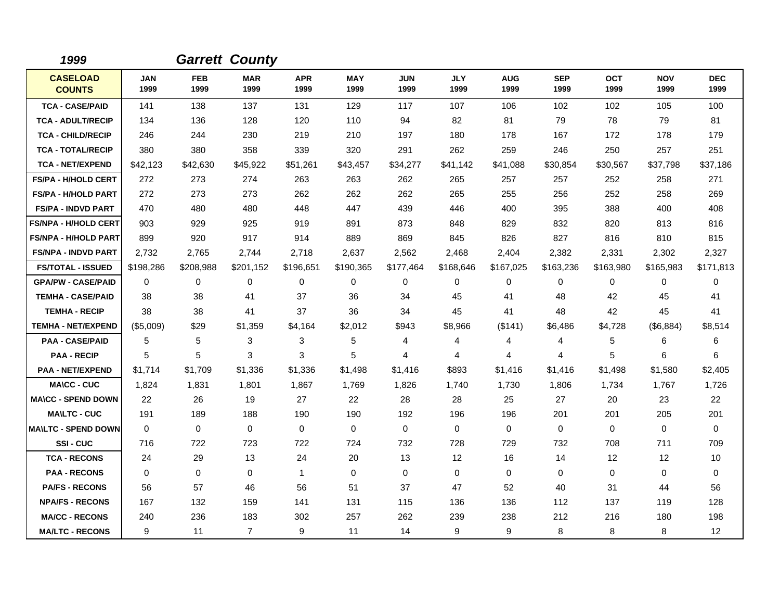| 1999                             |                    |                    | <b>Garrett County</b> |                    |                    |                    |                    |                    |                    |                    |                    |                    |
|----------------------------------|--------------------|--------------------|-----------------------|--------------------|--------------------|--------------------|--------------------|--------------------|--------------------|--------------------|--------------------|--------------------|
| <b>CASELOAD</b><br><b>COUNTS</b> | <b>JAN</b><br>1999 | <b>FEB</b><br>1999 | <b>MAR</b><br>1999    | <b>APR</b><br>1999 | <b>MAY</b><br>1999 | <b>JUN</b><br>1999 | <b>JLY</b><br>1999 | <b>AUG</b><br>1999 | <b>SEP</b><br>1999 | <b>OCT</b><br>1999 | <b>NOV</b><br>1999 | <b>DEC</b><br>1999 |
| <b>TCA - CASE/PAID</b>           | 141                | 138                | 137                   | 131                | 129                | 117                | 107                | 106                | 102                | 102                | 105                | 100                |
| <b>TCA - ADULT/RECIP</b>         | 134                | 136                | 128                   | 120                | 110                | 94                 | 82                 | 81                 | 79                 | 78                 | 79                 | 81                 |
| <b>TCA - CHILD/RECIP</b>         | 246                | 244                | 230                   | 219                | 210                | 197                | 180                | 178                | 167                | 172                | 178                | 179                |
| <b>TCA - TOTAL/RECIP</b>         | 380                | 380                | 358                   | 339                | 320                | 291                | 262                | 259                | 246                | 250                | 257                | 251                |
| <b>TCA - NET/EXPEND</b>          | \$42,123           | \$42,630           | \$45,922              | \$51,261           | \$43,457           | \$34,277           | \$41,142           | \$41,088           | \$30,854           | \$30,567           | \$37,798           | \$37,186           |
| <b>FS/PA - H/HOLD CERT</b>       | 272                | 273                | 274                   | 263                | 263                | 262                | 265                | 257                | 257                | 252                | 258                | 271                |
| <b>FS/PA - H/HOLD PART</b>       | 272                | 273                | 273                   | 262                | 262                | 262                | 265                | 255                | 256                | 252                | 258                | 269                |
| <b>FS/PA - INDVD PART</b>        | 470                | 480                | 480                   | 448                | 447                | 439                | 446                | 400                | 395                | 388                | 400                | 408                |
| <b>FS/NPA - H/HOLD CERT</b>      | 903                | 929                | 925                   | 919                | 891                | 873                | 848                | 829                | 832                | 820                | 813                | 816                |
| <b>FS/NPA - H/HOLD PART</b>      | 899                | 920                | 917                   | 914                | 889                | 869                | 845                | 826                | 827                | 816                | 810                | 815                |
| <b>FS/NPA - INDVD PART</b>       | 2,732              | 2,765              | 2,744                 | 2,718              | 2,637              | 2,562              | 2,468              | 2,404              | 2,382              | 2,331              | 2,302              | 2,327              |
| <b>FS/TOTAL - ISSUED</b>         | \$198,286          | \$208,988          | \$201,152             | \$196,651          | \$190,365          | \$177,464          | \$168,646          | \$167,025          | \$163,236          | \$163,980          | \$165,983          | \$171,813          |
| <b>GPA/PW - CASE/PAID</b>        | $\Omega$           | 0                  | $\Omega$              | $\Omega$           | 0                  | $\Omega$           | 0                  | 0                  | $\Omega$           | $\Omega$           | 0                  | $\Omega$           |
| <b>TEMHA - CASE/PAID</b>         | 38                 | 38                 | 41                    | 37                 | 36                 | 34                 | 45                 | 41                 | 48                 | 42                 | 45                 | 41                 |
| <b>TEMHA - RECIP</b>             | 38                 | 38                 | 41                    | 37                 | 36                 | 34                 | 45                 | 41                 | 48                 | 42                 | 45                 | 41                 |
| <b>TEMHA - NET/EXPEND</b>        | (\$5,009)          | \$29               | \$1,359               | \$4,164            | \$2,012            | \$943              | \$8,966            | (\$141)            | \$6,486            | \$4,728            | (\$6,884)          | \$8,514            |
| <b>PAA - CASE/PAID</b>           | 5                  | 5                  | 3                     | 3                  | 5                  | 4                  | 4                  | 4                  | 4                  | 5                  | 6                  | 6                  |
| <b>PAA - RECIP</b>               | 5                  | 5                  | 3                     | 3                  | 5                  | 4                  | 4                  | 4                  | 4                  | 5                  | 6                  | 6                  |
| <b>PAA - NET/EXPEND</b>          | \$1,714            | \$1,709            | \$1,336               | \$1,336            | \$1,498            | \$1,416            | \$893              | \$1,416            | \$1,416            | \$1,498            | \$1,580            | \$2,405            |
| <b>MA\CC - CUC</b>               | 1,824              | 1,831              | 1,801                 | 1,867              | 1,769              | 1,826              | 1,740              | 1,730              | 1,806              | 1,734              | 1,767              | 1,726              |
| <b>MA\CC - SPEND DOWN</b>        | 22                 | 26                 | 19                    | 27                 | 22                 | 28                 | 28                 | 25                 | 27                 | 20                 | 23                 | 22                 |
| <b>MA\LTC - CUC</b>              | 191                | 189                | 188                   | 190                | 190                | 192                | 196                | 196                | 201                | 201                | 205                | 201                |
| <b>MA\LTC - SPEND DOWN</b>       | $\Omega$           | 0                  | $\mathbf 0$           | $\Omega$           | $\mathbf 0$        | $\Omega$           | $\Omega$           | 0                  | $\Omega$           | $\Omega$           | 0                  | $\Omega$           |
| SSI-CUC                          | 716                | 722                | 723                   | 722                | 724                | 732                | 728                | 729                | 732                | 708                | 711                | 709                |
| <b>TCA - RECONS</b>              | 24                 | 29                 | 13                    | 24                 | 20                 | 13                 | 12                 | 16                 | 14                 | 12                 | 12                 | 10                 |
| <b>PAA - RECONS</b>              | $\Omega$           | $\Omega$           | $\Omega$              | $\mathbf{1}$       | 0                  | $\Omega$           | $\Omega$           | 0                  | $\Omega$           | $\Omega$           | 0                  | 0                  |
| <b>PA/FS - RECONS</b>            | 56                 | 57                 | 46                    | 56                 | 51                 | 37                 | 47                 | 52                 | 40                 | 31                 | 44                 | 56                 |
| <b>NPA/FS - RECONS</b>           | 167                | 132                | 159                   | 141                | 131                | 115                | 136                | 136                | 112                | 137                | 119                | 128                |
| <b>MA/CC - RECONS</b>            | 240                | 236                | 183                   | 302                | 257                | 262                | 239                | 238                | 212                | 216                | 180                | 198                |
| <b>MA/LTC - RECONS</b>           | 9                  | 11                 | $\overline{7}$        | 9                  | 11                 | 14                 | 9                  | 9                  | 8                  | 8                  | 8                  | 12                 |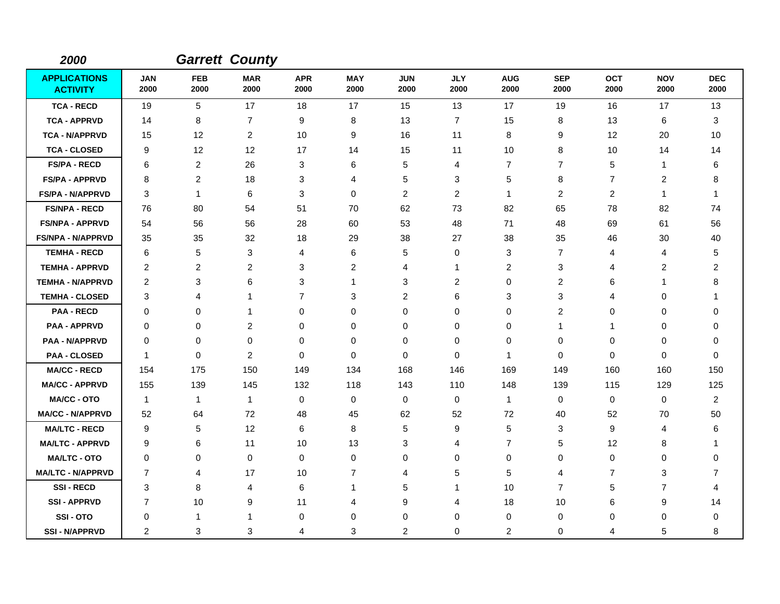| 2000                                   |                    |                    | <b>Garrett County</b>   |                    |                    |                    |                    |                    |                    |                    |                    |                    |
|----------------------------------------|--------------------|--------------------|-------------------------|--------------------|--------------------|--------------------|--------------------|--------------------|--------------------|--------------------|--------------------|--------------------|
| <b>APPLICATIONS</b><br><b>ACTIVITY</b> | <b>JAN</b><br>2000 | <b>FEB</b><br>2000 | <b>MAR</b><br>2000      | <b>APR</b><br>2000 | <b>MAY</b><br>2000 | <b>JUN</b><br>2000 | <b>JLY</b><br>2000 | <b>AUG</b><br>2000 | <b>SEP</b><br>2000 | <b>OCT</b><br>2000 | <b>NOV</b><br>2000 | <b>DEC</b><br>2000 |
| <b>TCA - RECD</b>                      | 19                 | 5                  | 17                      | 18                 | 17                 | 15                 | 13                 | 17                 | 19                 | 16                 | 17                 | 13                 |
| <b>TCA - APPRVD</b>                    | 14                 | 8                  | $\overline{7}$          | 9                  | 8                  | 13                 | $\overline{7}$     | 15                 | 8                  | 13                 | 6                  | 3                  |
| <b>TCA - N/APPRVD</b>                  | 15                 | $12 \,$            | $\overline{2}$          | 10                 | 9                  | 16                 | 11                 | 8                  | 9                  | 12                 | 20                 | 10                 |
| <b>TCA - CLOSED</b>                    | 9                  | 12                 | 12                      | 17                 | 14                 | 15                 | 11                 | 10                 | 8                  | 10                 | 14                 | 14                 |
| <b>FS/PA - RECD</b>                    | 6                  | 2                  | 26                      | 3                  | 6                  | 5                  | 4                  | 7                  | $\overline{7}$     | 5                  | $\mathbf{1}$       | 6                  |
| <b>FS/PA - APPRVD</b>                  | 8                  | 2                  | 18                      | 3                  | 4                  | 5                  | 3                  | 5                  | 8                  | $\overline{7}$     | $\overline{2}$     | 8                  |
| <b>FS/PA - N/APPRVD</b>                | 3                  | $\mathbf{1}$       | 6                       | 3                  | 0                  | $\overline{c}$     | $\overline{c}$     | $\mathbf{1}$       | 2                  | 2                  | $\mathbf{1}$       | 1                  |
| <b>FS/NPA - RECD</b>                   | 76                 | 80                 | 54                      | 51                 | 70                 | 62                 | 73                 | 82                 | 65                 | 78                 | 82                 | 74                 |
| <b>FS/NPA - APPRVD</b>                 | 54                 | 56                 | 56                      | 28                 | 60                 | 53                 | 48                 | 71                 | 48                 | 69                 | 61                 | 56                 |
| <b>FS/NPA - N/APPRVD</b>               | 35                 | 35                 | 32                      | 18                 | 29                 | 38                 | 27                 | 38                 | 35                 | 46                 | 30                 | 40                 |
| <b>TEMHA - RECD</b>                    | 6                  | 5                  | 3                       | 4                  | 6                  | 5                  | $\mathbf 0$        | 3                  | $\overline{7}$     | 4                  | 4                  | 5                  |
| <b>TEMHA - APPRVD</b>                  | $\overline{c}$     | 2                  | $\overline{c}$          | 3                  | $\overline{c}$     | 4                  | 1                  | $\overline{c}$     | 3                  | 4                  | $\overline{c}$     | 2                  |
| <b>TEMHA - N/APPRVD</b>                | 2                  | 3                  | 6                       | 3                  | 1                  | 3                  | $\overline{c}$     | 0                  | 2                  | 6                  | $\mathbf{1}$       | 8                  |
| <b>TEMHA - CLOSED</b>                  | 3                  | 4                  | 1                       | 7                  | 3                  | 2                  | 6                  | 3                  | 3                  | 4                  | $\Omega$           | $\mathbf{1}$       |
| <b>PAA - RECD</b>                      | 0                  | 0                  | 1                       | 0                  | $\mathbf 0$        | $\mathbf 0$        | $\mathbf 0$        | 0                  | $\overline{c}$     | 0                  | 0                  | 0                  |
| <b>PAA - APPRVD</b>                    | 0                  | 0                  | $\overline{\mathbf{c}}$ | 0                  | 0                  | 0                  | 0                  | 0                  | $\mathbf{1}$       | $\mathbf{1}$       | 0                  | 0                  |
| <b>PAA - N/APPRVD</b>                  | $\Omega$           | 0                  | 0                       | 0                  | $\mathbf 0$        | 0                  | $\mathbf 0$        | 0                  | $\mathbf 0$        | 0                  | 0                  | $\Omega$           |
| <b>PAA - CLOSED</b>                    | $\mathbf{1}$       | $\mathbf 0$        | $\overline{c}$          | 0                  | $\mathbf 0$        | $\mathbf 0$        | $\mathbf 0$        | 1                  | $\mathbf 0$        | 0                  | $\mathbf 0$        | 0                  |
| <b>MA/CC - RECD</b>                    | 154                | 175                | 150                     | 149                | 134                | 168                | 146                | 169                | 149                | 160                | 160                | 150                |
| <b>MA/CC - APPRVD</b>                  | 155                | 139                | 145                     | 132                | 118                | 143                | 110                | 148                | 139                | 115                | 129                | 125                |
| <b>MA/CC - OTO</b>                     | $\overline{1}$     | $\mathbf{1}$       | $\mathbf{1}$            | 0                  | 0                  | $\mathbf 0$        | 0                  | $\mathbf{1}$       | 0                  | 0                  | 0                  | $\overline{c}$     |
| <b>MA/CC - N/APPRVD</b>                | 52                 | 64                 | 72                      | 48                 | 45                 | 62                 | 52                 | 72                 | 40                 | 52                 | 70                 | 50                 |
| <b>MA/LTC - RECD</b>                   | 9                  | 5                  | 12                      | 6                  | 8                  | 5                  | 9                  | 5                  | 3                  | 9                  | 4                  | 6                  |
| <b>MA/LTC - APPRVD</b>                 | 9                  | 6                  | 11                      | 10                 | 13                 | 3                  | 4                  | 7                  | 5                  | 12                 | 8                  | 1                  |
| <b>MA/LTC - OTO</b>                    | $\Omega$           | $\mathbf 0$        | 0                       | 0                  | 0                  | 0                  | 0                  | $\Omega$           | 0                  | 0                  | 0                  | $\Omega$           |
| <b>MA/LTC - N/APPRVD</b>               | $\overline{7}$     | 4                  | 17                      | 10                 | $\overline{7}$     | 4                  | 5                  | 5                  | 4                  | 7                  | 3                  | 7                  |
| <b>SSI-RECD</b>                        | 3                  | 8                  | $\overline{4}$          | 6                  | 1                  | 5                  | 1                  | 10                 | $\overline{7}$     | 5                  | $\overline{7}$     | 4                  |
| <b>SSI - APPRVD</b>                    | 7                  | 10                 | 9                       | 11                 | 4                  | 9                  | 4                  | 18                 | 10                 | 6                  | 9                  | 14                 |
| SSI-OTO                                | 0                  | 1                  | 1                       | 0                  | $\mathbf 0$        | $\mathbf 0$        | $\mathbf 0$        | 0                  | 0                  | 0                  | 0                  | 0                  |
| <b>SSI - N/APPRVD</b>                  | 2                  | 3                  | 3                       | 4                  | 3                  | $\overline{c}$     | $\mathbf 0$        | $\overline{c}$     | $\mathbf 0$        | 4                  | 5                  | 8                  |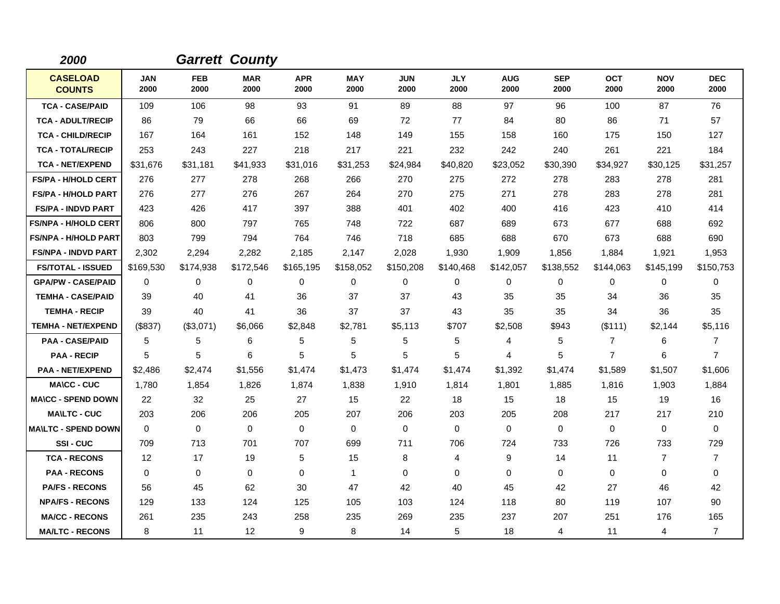| 2000                             |                    |                    | <b>Garrett County</b> |                    |                    |                    |                    |                    |                    |                    |                    |                    |
|----------------------------------|--------------------|--------------------|-----------------------|--------------------|--------------------|--------------------|--------------------|--------------------|--------------------|--------------------|--------------------|--------------------|
| <b>CASELOAD</b><br><b>COUNTS</b> | <b>JAN</b><br>2000 | <b>FEB</b><br>2000 | <b>MAR</b><br>2000    | <b>APR</b><br>2000 | <b>MAY</b><br>2000 | <b>JUN</b><br>2000 | <b>JLY</b><br>2000 | <b>AUG</b><br>2000 | <b>SEP</b><br>2000 | <b>OCT</b><br>2000 | <b>NOV</b><br>2000 | <b>DEC</b><br>2000 |
| <b>TCA - CASE/PAID</b>           | 109                | 106                | 98                    | 93                 | 91                 | 89                 | 88                 | 97                 | 96                 | 100                | 87                 | 76                 |
| <b>TCA - ADULT/RECIP</b>         | 86                 | 79                 | 66                    | 66                 | 69                 | 72                 | 77                 | 84                 | 80                 | 86                 | 71                 | 57                 |
| <b>TCA - CHILD/RECIP</b>         | 167                | 164                | 161                   | 152                | 148                | 149                | 155                | 158                | 160                | 175                | 150                | 127                |
| <b>TCA - TOTAL/RECIP</b>         | 253                | 243                | 227                   | 218                | 217                | 221                | 232                | 242                | 240                | 261                | 221                | 184                |
| <b>TCA - NET/EXPEND</b>          | \$31,676           | \$31,181           | \$41,933              | \$31,016           | \$31,253           | \$24,984           | \$40,820           | \$23,052           | \$30,390           | \$34,927           | \$30,125           | \$31,257           |
| <b>FS/PA - H/HOLD CERT</b>       | 276                | 277                | 278                   | 268                | 266                | 270                | 275                | 272                | 278                | 283                | 278                | 281                |
| <b>FS/PA - H/HOLD PART</b>       | 276                | 277                | 276                   | 267                | 264                | 270                | 275                | 271                | 278                | 283                | 278                | 281                |
| <b>FS/PA - INDVD PART</b>        | 423                | 426                | 417                   | 397                | 388                | 401                | 402                | 400                | 416                | 423                | 410                | 414                |
| <b>FS/NPA - H/HOLD CERT</b>      | 806                | 800                | 797                   | 765                | 748                | 722                | 687                | 689                | 673                | 677                | 688                | 692                |
| <b>FS/NPA - H/HOLD PART</b>      | 803                | 799                | 794                   | 764                | 746                | 718                | 685                | 688                | 670                | 673                | 688                | 690                |
| <b>FS/NPA - INDVD PART</b>       | 2,302              | 2,294              | 2,282                 | 2,185              | 2,147              | 2,028              | 1,930              | 1,909              | 1,856              | 1,884              | 1,921              | 1,953              |
| <b>FS/TOTAL - ISSUED</b>         | \$169,530          | \$174,938          | \$172,546             | \$165,195          | \$158,052          | \$150,208          | \$140,468          | \$142,057          | \$138,552          | \$144,063          | \$145,199          | \$150,753          |
| <b>GPA/PW - CASE/PAID</b>        | $\Omega$           | $\Omega$           | $\Omega$              | $\Omega$           | 0                  | $\Omega$           | 0                  | 0                  | $\Omega$           | $\Omega$           | 0                  | $\Omega$           |
| <b>TEMHA - CASE/PAID</b>         | 39                 | 40                 | 41                    | 36                 | 37                 | 37                 | 43                 | 35                 | 35                 | 34                 | 36                 | 35                 |
| <b>TEMHA - RECIP</b>             | 39                 | 40                 | 41                    | 36                 | 37                 | 37                 | 43                 | 35                 | 35                 | 34                 | 36                 | 35                 |
| <b>TEMHA - NET/EXPEND</b>        | (\$837)            | (\$3,071)          | \$6,066               | \$2,848            | \$2,781            | \$5,113            | \$707              | \$2,508            | \$943              | (\$111)            | \$2,144            | \$5,116            |
| <b>PAA - CASE/PAID</b>           | 5                  | 5                  | 6                     | 5                  | 5                  | 5                  | 5                  | 4                  | 5                  | $\overline{7}$     | 6                  | 7                  |
| <b>PAA - RECIP</b>               | 5                  | 5                  | 6                     | 5                  | 5                  | 5                  | 5                  | 4                  | 5                  | $\overline{7}$     | 6                  | $\overline{7}$     |
| <b>PAA - NET/EXPEND</b>          | \$2,486            | \$2,474            | \$1,556               | \$1,474            | \$1,473            | \$1,474            | \$1,474            | \$1,392            | \$1,474            | \$1,589            | \$1,507            | \$1,606            |
| <b>MA\CC - CUC</b>               | 1,780              | 1,854              | 1,826                 | 1,874              | 1,838              | 1,910              | 1,814              | 1,801              | 1,885              | 1,816              | 1,903              | 1,884              |
| <b>MA\CC - SPEND DOWN</b>        | 22                 | 32                 | 25                    | 27                 | 15                 | 22                 | 18                 | 15                 | 18                 | 15                 | 19                 | 16                 |
| <b>MA\LTC - CUC</b>              | 203                | 206                | 206                   | 205                | 207                | 206                | 203                | 205                | 208                | 217                | 217                | 210                |
| <b>MA\LTC - SPEND DOWN</b>       | $\Omega$           | $\Omega$           | $\mathbf 0$           | $\mathbf{0}$       | $\mathbf 0$        | $\Omega$           | $\Omega$           | 0                  | $\Omega$           | $\Omega$           | 0                  | 0                  |
| SSI-CUC                          | 709                | 713                | 701                   | 707                | 699                | 711                | 706                | 724                | 733                | 726                | 733                | 729                |
| <b>TCA - RECONS</b>              | 12                 | 17                 | 19                    | 5                  | 15                 | 8                  | 4                  | 9                  | 14                 | 11                 | 7                  | 7                  |
| <b>PAA - RECONS</b>              | $\mathbf{0}$       | 0                  | $\Omega$              | $\Omega$           | $\mathbf{1}$       | $\Omega$           | $\Omega$           | $\Omega$           | $\Omega$           | $\Omega$           | $\Omega$           | 0                  |
| <b>PA/FS - RECONS</b>            | 56                 | 45                 | 62                    | 30                 | 47                 | 42                 | 40                 | 45                 | 42                 | 27                 | 46                 | 42                 |
| <b>NPA/FS - RECONS</b>           | 129                | 133                | 124                   | 125                | 105                | 103                | 124                | 118                | 80                 | 119                | 107                | 90                 |
| <b>MA/CC - RECONS</b>            | 261                | 235                | 243                   | 258                | 235                | 269                | 235                | 237                | 207                | 251                | 176                | 165                |
| <b>MA/LTC - RECONS</b>           | 8                  | 11                 | 12                    | 9                  | 8                  | 14                 | 5                  | 18                 | 4                  | 11                 | 4                  | $\overline{7}$     |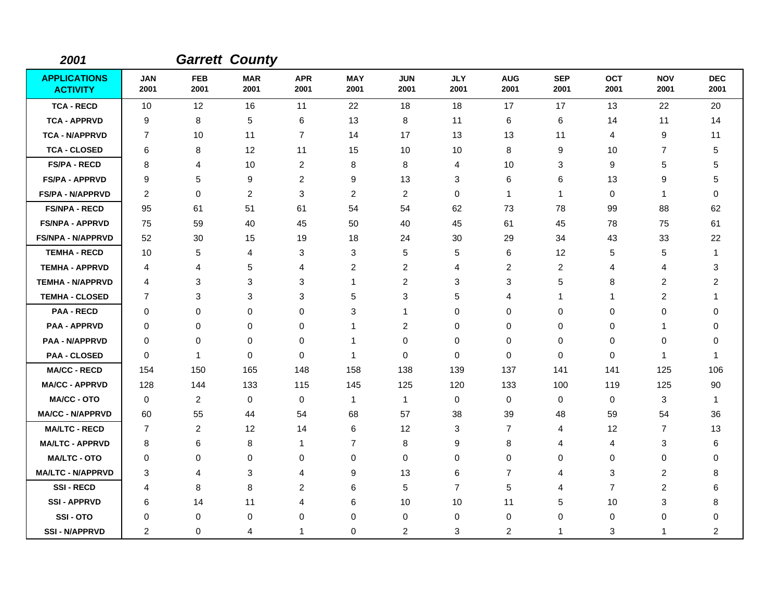| 2001                                   |                    |                    | <b>Garrett County</b> |                    |                    |                    |                    |                    |                    |                    |                    |                    |
|----------------------------------------|--------------------|--------------------|-----------------------|--------------------|--------------------|--------------------|--------------------|--------------------|--------------------|--------------------|--------------------|--------------------|
| <b>APPLICATIONS</b><br><b>ACTIVITY</b> | <b>JAN</b><br>2001 | <b>FEB</b><br>2001 | <b>MAR</b><br>2001    | <b>APR</b><br>2001 | <b>MAY</b><br>2001 | <b>JUN</b><br>2001 | <b>JLY</b><br>2001 | <b>AUG</b><br>2001 | <b>SEP</b><br>2001 | <b>OCT</b><br>2001 | <b>NOV</b><br>2001 | <b>DEC</b><br>2001 |
| <b>TCA - RECD</b>                      | 10                 | 12                 | 16                    | 11                 | 22                 | 18                 | 18                 | 17                 | 17                 | 13                 | 22                 | 20                 |
| <b>TCA - APPRVD</b>                    | 9                  | 8                  | 5                     | 6                  | 13                 | 8                  | 11                 | 6                  | 6                  | 14                 | 11                 | 14                 |
| <b>TCA - N/APPRVD</b>                  | 7                  | 10                 | 11                    | $\overline{7}$     | 14                 | 17                 | 13                 | 13                 | 11                 | 4                  | 9                  | 11                 |
| <b>TCA - CLOSED</b>                    | 6                  | 8                  | 12                    | 11                 | 15                 | 10                 | 10                 | 8                  | 9                  | 10                 | $\overline{7}$     | 5                  |
| <b>FS/PA - RECD</b>                    | 8                  | 4                  | 10                    | 2                  | 8                  | 8                  | 4                  | 10                 | 3                  | 9                  | 5                  | 5                  |
| <b>FS/PA - APPRVD</b>                  | 9                  | 5                  | 9                     | $\overline{c}$     | 9                  | 13                 | 3                  | 6                  | 6                  | 13                 | 9                  | 5                  |
| <b>FS/PA - N/APPRVD</b>                | 2                  | $\mathbf 0$        | $\overline{2}$        | 3                  | $\overline{2}$     | $\overline{c}$     | 0                  | $\mathbf{1}$       | $\mathbf{1}$       | 0                  | $\mathbf{1}$       | 0                  |
| <b>FS/NPA - RECD</b>                   | 95                 | 61                 | 51                    | 61                 | 54                 | 54                 | 62                 | 73                 | 78                 | 99                 | 88                 | 62                 |
| <b>FS/NPA - APPRVD</b>                 | 75                 | 59                 | 40                    | 45                 | 50                 | 40                 | 45                 | 61                 | 45                 | 78                 | 75                 | 61                 |
| <b>FS/NPA - N/APPRVD</b>               | 52                 | 30                 | 15                    | 19                 | 18                 | 24                 | 30                 | 29                 | 34                 | 43                 | 33                 | 22                 |
| <b>TEMHA - RECD</b>                    | 10                 | 5                  | 4                     | 3                  | 3                  | 5                  | 5                  | 6                  | 12                 | 5                  | 5                  | 1                  |
| <b>TEMHA - APPRVD</b>                  | 4                  | 4                  | 5                     | 4                  | $\overline{c}$     | $\overline{c}$     | 4                  | $\overline{c}$     | $\overline{c}$     | 4                  | $\overline{4}$     | 3                  |
| <b>TEMHA - N/APPRVD</b>                | 4                  | 3                  | 3                     | 3                  | $\mathbf{1}$       | $\overline{c}$     | 3                  | 3                  | 5                  | 8                  | $\overline{2}$     | 2                  |
| <b>TEMHA - CLOSED</b>                  | $\overline{7}$     | 3                  | 3                     | 3                  | 5                  | 3                  | 5                  | 4                  | 1                  | 1                  | $\overline{c}$     | 1                  |
| <b>PAA - RECD</b>                      | $\mathbf 0$        | $\mathbf 0$        | 0                     | 0                  | $\sqrt{3}$         | 1                  | $\mathbf 0$        | 0                  | $\mathbf 0$        | 0                  | 0                  | 0                  |
| <b>PAA - APPRVD</b>                    | 0                  | 0                  | 0                     | 0                  | $\mathbf 1$        | $\overline{c}$     | 0                  | 0                  | $\mathbf 0$        | 0                  | $\mathbf{1}$       | 0                  |
| <b>PAA - N/APPRVD</b>                  | $\Omega$           | 0                  | 0                     | 0                  | $\mathbf 1$        | $\mathbf 0$        | $\mathbf 0$        | 0                  | 0                  | 0                  | 0                  | 0                  |
| <b>PAA - CLOSED</b>                    | $\Omega$           | -1                 | $\mathbf 0$           | 0                  | $\mathbf 1$        | $\mathbf 0$        | $\mathbf 0$        | 0                  | $\mathbf 0$        | 0                  | 1                  | 1                  |
| <b>MA/CC - RECD</b>                    | 154                | 150                | 165                   | 148                | 158                | 138                | 139                | 137                | 141                | 141                | 125                | 106                |
| <b>MA/CC - APPRVD</b>                  | 128                | 144                | 133                   | 115                | 145                | 125                | 120                | 133                | 100                | 119                | 125                | 90                 |
| <b>MA/CC - OTO</b>                     | $\mathbf 0$        | 2                  | 0                     | 0                  | $\mathbf{1}$       | $\mathbf{1}$       | $\mathbf 0$        | 0                  | $\mathbf 0$        | 0                  | 3                  | -1                 |
| <b>MA/CC - N/APPRVD</b>                | 60                 | 55                 | 44                    | 54                 | 68                 | 57                 | 38                 | 39                 | 48                 | 59                 | 54                 | 36                 |
| <b>MA/LTC - RECD</b>                   | $\overline{7}$     | 2                  | 12                    | 14                 | 6                  | 12                 | 3                  | $\overline{7}$     | 4                  | 12                 | $\overline{7}$     | 13                 |
| <b>MA/LTC - APPRVD</b>                 | 8                  | 6                  | 8                     | $\mathbf{1}$       | $\overline{7}$     | 8                  | 9                  | 8                  | 4                  | 4                  | 3                  | 6                  |
| <b>MA/LTC - OTO</b>                    | 0                  | $\mathbf 0$        | 0                     | 0                  | 0                  | 0                  | 0                  | 0                  | 0                  | 0                  | 0                  | 0                  |
| <b>MA/LTC - N/APPRVD</b>               | 3                  | 4                  | 3                     | 4                  | 9                  | 13                 | 6                  | $\overline{7}$     | 4                  | 3                  | $\overline{2}$     | 8                  |
| <b>SSI-RECD</b>                        | 4                  | 8                  | 8                     | 2                  | 6                  | 5                  | $\overline{7}$     | 5                  | 4                  | 7                  | $\overline{2}$     | 6                  |
| <b>SSI-APPRVD</b>                      | 6                  | 14                 | 11                    | 4                  | 6                  | 10                 | 10                 | 11                 | 5                  | 10                 | 3                  | 8                  |
| SSI-OTO                                | $\Omega$           | 0                  | 0                     | 0                  | $\mathbf 0$        | 0                  | $\mathbf 0$        | 0                  | $\mathbf 0$        | 0                  | 0                  | 0                  |
| <b>SSI - N/APPRVD</b>                  | $\overline{2}$     | 0                  | 4                     | 1                  | $\mathbf 0$        | $\overline{c}$     | 3                  | $\overline{c}$     | 1                  | 3                  | $\mathbf{1}$       | $\overline{c}$     |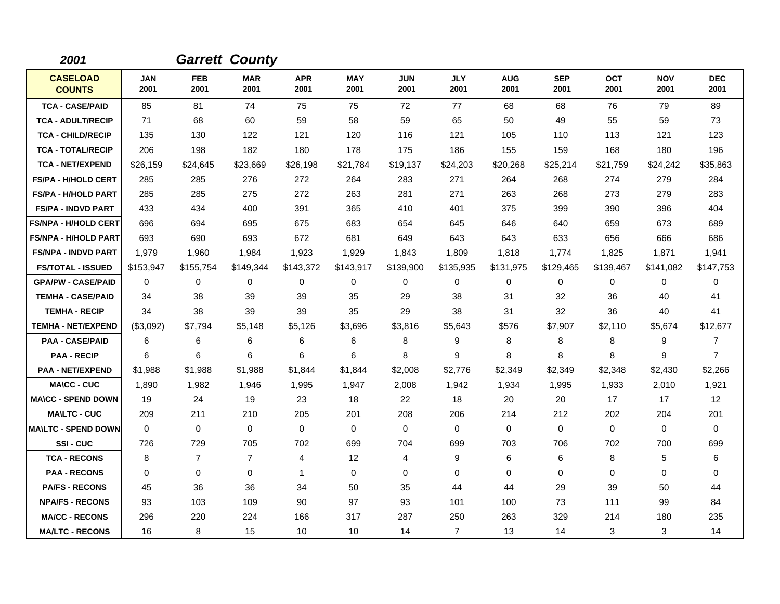| 2001                             |                    |                    | <b>Garrett County</b> |                    |                    |                    |                    |                    |                    |                    |                    |                    |
|----------------------------------|--------------------|--------------------|-----------------------|--------------------|--------------------|--------------------|--------------------|--------------------|--------------------|--------------------|--------------------|--------------------|
| <b>CASELOAD</b><br><b>COUNTS</b> | <b>JAN</b><br>2001 | <b>FEB</b><br>2001 | <b>MAR</b><br>2001    | <b>APR</b><br>2001 | <b>MAY</b><br>2001 | <b>JUN</b><br>2001 | <b>JLY</b><br>2001 | <b>AUG</b><br>2001 | <b>SEP</b><br>2001 | <b>OCT</b><br>2001 | <b>NOV</b><br>2001 | <b>DEC</b><br>2001 |
| <b>TCA - CASE/PAID</b>           | 85                 | 81                 | 74                    | 75                 | 75                 | 72                 | 77                 | 68                 | 68                 | 76                 | 79                 | 89                 |
| <b>TCA - ADULT/RECIP</b>         | 71                 | 68                 | 60                    | 59                 | 58                 | 59                 | 65                 | 50                 | 49                 | 55                 | 59                 | 73                 |
| <b>TCA - CHILD/RECIP</b>         | 135                | 130                | 122                   | 121                | 120                | 116                | 121                | 105                | 110                | 113                | 121                | 123                |
| <b>TCA - TOTAL/RECIP</b>         | 206                | 198                | 182                   | 180                | 178                | 175                | 186                | 155                | 159                | 168                | 180                | 196                |
| <b>TCA - NET/EXPEND</b>          | \$26,159           | \$24,645           | \$23,669              | \$26,198           | \$21,784           | \$19,137           | \$24,203           | \$20,268           | \$25,214           | \$21,759           | \$24,242           | \$35,863           |
| <b>FS/PA - H/HOLD CERT</b>       | 285                | 285                | 276                   | 272                | 264                | 283                | 271                | 264                | 268                | 274                | 279                | 284                |
| <b>FS/PA - H/HOLD PART</b>       | 285                | 285                | 275                   | 272                | 263                | 281                | 271                | 263                | 268                | 273                | 279                | 283                |
| <b>FS/PA - INDVD PART</b>        | 433                | 434                | 400                   | 391                | 365                | 410                | 401                | 375                | 399                | 390                | 396                | 404                |
| <b>FS/NPA - H/HOLD CERT</b>      | 696                | 694                | 695                   | 675                | 683                | 654                | 645                | 646                | 640                | 659                | 673                | 689                |
| <b>FS/NPA - H/HOLD PART</b>      | 693                | 690                | 693                   | 672                | 681                | 649                | 643                | 643                | 633                | 656                | 666                | 686                |
| <b>FS/NPA - INDVD PART</b>       | 1,979              | 1,960              | 1,984                 | 1,923              | 1,929              | 1,843              | 1,809              | 1,818              | 1,774              | 1,825              | 1,871              | 1,941              |
| <b>FS/TOTAL - ISSUED</b>         | \$153,947          | \$155,754          | \$149,344             | \$143,372          | \$143,917          | \$139,900          | \$135,935          | \$131,975          | \$129,465          | \$139,467          | \$141,082          | \$147,753          |
| <b>GPA/PW - CASE/PAID</b>        | 0                  | 0                  | 0                     | 0                  | 0                  | 0                  | $\mathbf 0$        | 0                  | $\mathbf 0$        | 0                  | 0                  | 0                  |
| <b>TEMHA - CASE/PAID</b>         | 34                 | 38                 | 39                    | 39                 | 35                 | 29                 | 38                 | 31                 | 32                 | 36                 | 40                 | 41                 |
| <b>TEMHA - RECIP</b>             | 34                 | 38                 | 39                    | 39                 | 35                 | 29                 | 38                 | 31                 | 32                 | 36                 | 40                 | 41                 |
| <b>TEMHA - NET/EXPEND</b>        | (\$3,092)          | \$7,794            | \$5,148               | \$5,126            | \$3,696            | \$3,816            | \$5,643            | \$576              | \$7,907            | \$2,110            | \$5,674            | \$12,677           |
| <b>PAA - CASE/PAID</b>           | 6                  | 6                  | 6                     | 6                  | 6                  | 8                  | 9                  | 8                  | 8                  | 8                  | 9                  | 7                  |
| <b>PAA - RECIP</b>               | 6                  | 6                  | 6                     | 6                  | 6                  | 8                  | 9                  | 8                  | 8                  | 8                  | 9                  | $\overline{7}$     |
| <b>PAA - NET/EXPEND</b>          | \$1,988            | \$1,988            | \$1,988               | \$1,844            | \$1,844            | \$2,008            | \$2,776            | \$2,349            | \$2,349            | \$2,348            | \$2,430            | \$2,266            |
| <b>MA\CC - CUC</b>               | 1,890              | 1,982              | 1,946                 | 1,995              | 1,947              | 2,008              | 1,942              | 1,934              | 1,995              | 1,933              | 2,010              | 1,921              |
| <b>MA\CC - SPEND DOWN</b>        | 19                 | 24                 | 19                    | 23                 | 18                 | 22                 | 18                 | 20                 | 20                 | 17                 | 17                 | 12                 |
| <b>MA\LTC - CUC</b>              | 209                | 211                | 210                   | 205                | 201                | 208                | 206                | 214                | 212                | 202                | 204                | 201                |
| <b>MA\LTC - SPEND DOWN</b>       | $\mathbf 0$        | 0                  | $\mathbf 0$           | $\mathbf 0$        | $\mathbf 0$        | $\mathbf 0$        | $\mathbf 0$        | 0                  | $\mathbf 0$        | 0                  | 0                  | 0                  |
| <b>SSI-CUC</b>                   | 726                | 729                | 705                   | 702                | 699                | 704                | 699                | 703                | 706                | 702                | 700                | 699                |
| <b>TCA - RECONS</b>              | 8                  | $\overline{7}$     | $\overline{7}$        | $\overline{4}$     | 12                 | 4                  | 9                  | 6                  | 6                  | 8                  | 5                  | 6                  |
| <b>PAA - RECONS</b>              | 0                  | 0                  | $\mathbf 0$           | $\mathbf{1}$       | $\mathbf 0$        | $\mathbf 0$        | $\mathbf 0$        | 0                  | $\mathbf 0$        | $\Omega$           | 0                  | 0                  |
| <b>PA/FS - RECONS</b>            | 45                 | 36                 | 36                    | 34                 | 50                 | 35                 | 44                 | 44                 | 29                 | 39                 | 50                 | 44                 |
| <b>NPA/FS - RECONS</b>           | 93                 | 103                | 109                   | 90                 | 97                 | 93                 | 101                | 100                | 73                 | 111                | 99                 | 84                 |
| <b>MA/CC - RECONS</b>            | 296                | 220                | 224                   | 166                | 317                | 287                | 250                | 263                | 329                | 214                | 180                | 235                |
| <b>MA/LTC - RECONS</b>           | 16                 | 8                  | 15                    | 10                 | 10                 | 14                 | $\overline{7}$     | 13                 | 14                 | 3                  | 3                  | 14                 |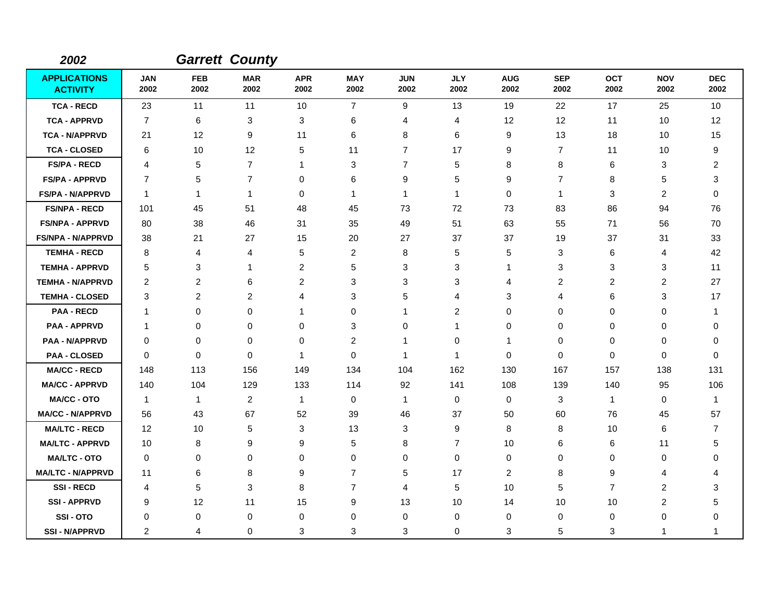| 2002                                   |                    |                    | <b>Garrett County</b> |                         |                    |                    |                         |                    |                    |                    |                    |                    |
|----------------------------------------|--------------------|--------------------|-----------------------|-------------------------|--------------------|--------------------|-------------------------|--------------------|--------------------|--------------------|--------------------|--------------------|
| <b>APPLICATIONS</b><br><b>ACTIVITY</b> | <b>JAN</b><br>2002 | <b>FEB</b><br>2002 | <b>MAR</b><br>2002    | <b>APR</b><br>2002      | <b>MAY</b><br>2002 | <b>JUN</b><br>2002 | <b>JLY</b><br>2002      | <b>AUG</b><br>2002 | <b>SEP</b><br>2002 | <b>OCT</b><br>2002 | <b>NOV</b><br>2002 | <b>DEC</b><br>2002 |
| <b>TCA - RECD</b>                      | 23                 | 11                 | 11                    | 10                      | $\overline{7}$     | 9                  | 13                      | 19                 | 22                 | 17                 | 25                 | 10                 |
| <b>TCA - APPRVD</b>                    | $\overline{7}$     | 6                  | 3                     | 3                       | 6                  | 4                  | 4                       | 12                 | 12                 | 11                 | 10                 | 12                 |
| <b>TCA - N/APPRVD</b>                  | 21                 | 12                 | 9                     | 11                      | 6                  | 8                  | 6                       | 9                  | 13                 | 18                 | 10                 | 15                 |
| <b>TCA - CLOSED</b>                    | 6                  | 10                 | 12                    | 5                       | 11                 | $\overline{7}$     | 17                      | 9                  | $\overline{7}$     | 11                 | 10                 | 9                  |
| <b>FS/PA - RECD</b>                    | 4                  | 5                  | $\overline{7}$        | -1                      | 3                  | $\overline{7}$     | 5                       | 8                  | 8                  | 6                  | 3                  | $\overline{2}$     |
| <b>FS/PA - APPRVD</b>                  | $\overline{7}$     | 5                  | $\overline{7}$        | 0                       | 6                  | 9                  | 5                       | 9                  | 7                  | 8                  | 5                  | 3                  |
| <b>FS/PA - N/APPRVD</b>                | $\overline{1}$     | $\mathbf{1}$       | $\overline{1}$        | $\Omega$                | $\mathbf 1$        | $\mathbf{1}$       | $\mathbf{1}$            | 0                  | $\mathbf 1$        | 3                  | 2                  | 0                  |
| <b>FS/NPA - RECD</b>                   | 101                | 45                 | 51                    | 48                      | 45                 | 73                 | 72                      | 73                 | 83                 | 86                 | 94                 | 76                 |
| <b>FS/NPA - APPRVD</b>                 | 80                 | 38                 | 46                    | 31                      | 35                 | 49                 | 51                      | 63                 | 55                 | 71                 | 56                 | 70                 |
| <b>FS/NPA - N/APPRVD</b>               | 38                 | 21                 | 27                    | 15                      | 20                 | 27                 | 37                      | 37                 | 19                 | 37                 | 31                 | 33                 |
| <b>TEMHA - RECD</b>                    | 8                  | 4                  | 4                     | 5                       | $\overline{2}$     | 8                  | 5                       | 5                  | 3                  | 6                  | $\overline{4}$     | 42                 |
| <b>TEMHA - APPRVD</b>                  | 5                  | 3                  | $\mathbf 1$           | $\overline{\mathbf{c}}$ | 5                  | 3                  | 3                       | 1                  | 3                  | 3                  | 3                  | 11                 |
| <b>TEMHA - N/APPRVD</b>                | $\overline{2}$     | $\overline{c}$     | 6                     | $\overline{c}$          | 3                  | 3                  | 3                       | 4                  | 2                  | $\overline{2}$     | $\overline{2}$     | 27                 |
| <b>TEMHA - CLOSED</b>                  | 3                  | 2                  | $\overline{c}$        | 4                       | 3                  | 5                  | 4                       | 3                  | 4                  | 6                  | 3                  | 17                 |
| <b>PAA - RECD</b>                      | 1                  | $\pmb{0}$          | 0                     | -1                      | 0                  | 1                  | $\overline{\mathbf{c}}$ | 0                  | 0                  | 0                  | 0                  | 1                  |
| <b>PAA - APPRVD</b>                    | $\mathbf{1}$       | $\mathbf 0$        | 0                     | $\mathbf 0$             | 3                  | $\mathbf 0$        | 1                       | 0                  | $\mathbf 0$        | 0                  | $\mathbf 0$        | $\mathbf 0$        |
| <b>PAA - N/APPRVD</b>                  | $\mathbf 0$        | 0                  | $\mathbf 0$           | 0                       | $\overline{2}$     | $\mathbf{1}$       | 0                       | $\mathbf{1}$       | 0                  | 0                  | 0                  | 0                  |
| <b>PAA - CLOSED</b>                    | $\Omega$           | $\Omega$           | $\Omega$              | -1                      | $\mathbf 0$        | $\mathbf 1$        | $\mathbf{1}$            | 0                  | $\Omega$           | 0                  | $\mathbf 0$        | 0                  |
| <b>MA/CC - RECD</b>                    | 148                | 113                | 156                   | 149                     | 134                | 104                | 162                     | 130                | 167                | 157                | 138                | 131                |
| <b>MA/CC - APPRVD</b>                  | 140                | 104                | 129                   | 133                     | 114                | 92                 | 141                     | 108                | 139                | 140                | 95                 | 106                |
| <b>MA/CC - OTO</b>                     | $\mathbf{1}$       | $\mathbf{1}$       | 2                     | $\mathbf{1}$            | $\mathbf 0$        | $\mathbf{1}$       | 0                       | 0                  | 3                  | $\mathbf{1}$       | 0                  | 1                  |
| <b>MA/CC - N/APPRVD</b>                | 56                 | 43                 | 67                    | 52                      | 39                 | 46                 | 37                      | 50                 | 60                 | 76                 | 45                 | 57                 |
| <b>MA/LTC - RECD</b>                   | 12                 | 10                 | $\,$ 5 $\,$           | 3                       | 13                 | 3                  | 9                       | 8                  | 8                  | 10                 | 6                  | 7                  |
| <b>MA/LTC - APPRVD</b>                 | 10                 | 8                  | 9                     | 9                       | $\overline{5}$     | 8                  | $\overline{7}$          | 10                 | $\,6$              | 6                  | 11                 | 5                  |
| <b>MA/LTC - OTO</b>                    | 0                  | 0                  | 0                     | 0                       | 0                  | 0                  | $\mathbf 0$             | 0                  | 0                  | 0                  | 0                  | 0                  |
| <b>MA/LTC - N/APPRVD</b>               | -11                | 6                  | 8                     | 9                       | $\overline{7}$     | 5                  | 17                      | 2                  | 8                  | 9                  | 4                  | 4                  |
| <b>SSI-RECD</b>                        | 4                  | 5                  | 3                     | 8                       | $\overline{7}$     | $\overline{4}$     | 5                       | 10                 | 5                  | $\overline{7}$     | $\overline{2}$     | 3                  |
| <b>SSI-APPRVD</b>                      | 9                  | 12                 | 11                    | 15                      | 9                  | 13                 | 10                      | 14                 | 10                 | 10                 | $\overline{c}$     | 5                  |
| SSI-OTO                                | 0                  | 0                  | $\mathbf 0$           | 0                       | 0                  | 0                  | 0                       | 0                  | 0                  | 0                  | $\mathbf 0$        | 0                  |
| <b>SSI - N/APPRVD</b>                  | $\overline{2}$     | 4                  | 0                     | 3                       | 3                  | 3                  | 0                       | 3                  | 5                  | 3                  | 1                  | 1                  |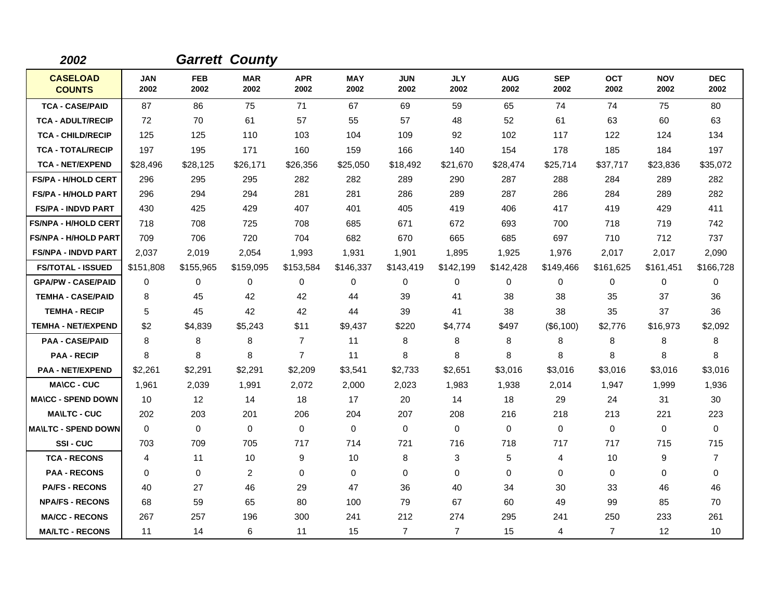| 2002                             |                    |                    | <b>Garrett County</b> |                    |                    |                    |                    |                    |                    |                    |                    |                    |
|----------------------------------|--------------------|--------------------|-----------------------|--------------------|--------------------|--------------------|--------------------|--------------------|--------------------|--------------------|--------------------|--------------------|
| <b>CASELOAD</b><br><b>COUNTS</b> | <b>JAN</b><br>2002 | <b>FEB</b><br>2002 | <b>MAR</b><br>2002    | <b>APR</b><br>2002 | <b>MAY</b><br>2002 | <b>JUN</b><br>2002 | <b>JLY</b><br>2002 | <b>AUG</b><br>2002 | <b>SEP</b><br>2002 | <b>OCT</b><br>2002 | <b>NOV</b><br>2002 | <b>DEC</b><br>2002 |
| <b>TCA - CASE/PAID</b>           | 87                 | 86                 | 75                    | 71                 | 67                 | 69                 | 59                 | 65                 | 74                 | 74                 | 75                 | 80                 |
| <b>TCA - ADULT/RECIP</b>         | 72                 | 70                 | 61                    | 57                 | 55                 | 57                 | 48                 | 52                 | 61                 | 63                 | 60                 | 63                 |
| <b>TCA - CHILD/RECIP</b>         | 125                | 125                | 110                   | 103                | 104                | 109                | 92                 | 102                | 117                | 122                | 124                | 134                |
| <b>TCA - TOTAL/RECIP</b>         | 197                | 195                | 171                   | 160                | 159                | 166                | 140                | 154                | 178                | 185                | 184                | 197                |
| <b>TCA - NET/EXPEND</b>          | \$28,496           | \$28,125           | \$26,171              | \$26,356           | \$25,050           | \$18,492           | \$21,670           | \$28,474           | \$25,714           | \$37,717           | \$23,836           | \$35,072           |
| <b>FS/PA - H/HOLD CERT</b>       | 296                | 295                | 295                   | 282                | 282                | 289                | 290                | 287                | 288                | 284                | 289                | 282                |
| <b>FS/PA - H/HOLD PART</b>       | 296                | 294                | 294                   | 281                | 281                | 286                | 289                | 287                | 286                | 284                | 289                | 282                |
| <b>FS/PA - INDVD PART</b>        | 430                | 425                | 429                   | 407                | 401                | 405                | 419                | 406                | 417                | 419                | 429                | 411                |
| <b>FS/NPA - H/HOLD CERT</b>      | 718                | 708                | 725                   | 708                | 685                | 671                | 672                | 693                | 700                | 718                | 719                | 742                |
| <b>FS/NPA - H/HOLD PART</b>      | 709                | 706                | 720                   | 704                | 682                | 670                | 665                | 685                | 697                | 710                | 712                | 737                |
| <b>FS/NPA - INDVD PART</b>       | 2,037              | 2.019              | 2,054                 | 1,993              | 1,931              | 1,901              | 1,895              | 1,925              | 1,976              | 2,017              | 2,017              | 2,090              |
| <b>FS/TOTAL - ISSUED</b>         | \$151,808          | \$155,965          | \$159,095             | \$153,584          | \$146,337          | \$143,419          | \$142,199          | \$142,428          | \$149,466          | \$161,625          | \$161,451          | \$166,728          |
| <b>GPA/PW - CASE/PAID</b>        | $\Omega$           | 0                  | 0                     | 0                  | 0                  | $\Omega$           | 0                  | 0                  | 0                  | 0                  | 0                  | 0                  |
| <b>TEMHA - CASE/PAID</b>         | 8                  | 45                 | 42                    | 42                 | 44                 | 39                 | 41                 | 38                 | 38                 | 35                 | 37                 | 36                 |
| <b>TEMHA - RECIP</b>             | 5                  | 45                 | 42                    | 42                 | 44                 | 39                 | 41                 | 38                 | 38                 | 35                 | 37                 | 36                 |
| <b>TEMHA - NET/EXPEND</b>        | \$2                | \$4,839            | \$5,243               | \$11               | \$9,437            | \$220              | \$4,774            | \$497              | (\$6,100)          | \$2,776            | \$16,973           | \$2,092            |
| <b>PAA - CASE/PAID</b>           | 8                  | 8                  | 8                     | $\overline{7}$     | 11                 | 8                  | 8                  | 8                  | 8                  | 8                  | 8                  | 8                  |
| <b>PAA - RECIP</b>               | 8                  | 8                  | 8                     | $\overline{7}$     | 11                 | 8                  | 8                  | 8                  | 8                  | 8                  | 8                  | 8                  |
| <b>PAA - NET/EXPEND</b>          | \$2,261            | \$2,291            | \$2,291               | \$2,209            | \$3,541            | \$2,733            | \$2,651            | \$3,016            | \$3,016            | \$3,016            | \$3,016            | \$3,016            |
| <b>MA\CC - CUC</b>               | 1,961              | 2,039              | 1,991                 | 2,072              | 2,000              | 2,023              | 1,983              | 1,938              | 2,014              | 1,947              | 1,999              | 1,936              |
| <b>MA\CC - SPEND DOWN</b>        | 10                 | 12                 | 14                    | 18                 | 17                 | 20                 | 14                 | 18                 | 29                 | 24                 | 31                 | 30                 |
| <b>MA\LTC - CUC</b>              | 202                | 203                | 201                   | 206                | 204                | 207                | 208                | 216                | 218                | 213                | 221                | 223                |
| <b>MA\LTC - SPEND DOWN</b>       | $\mathbf 0$        | $\mathbf 0$        | $\mathbf 0$           | $\mathbf 0$        | $\mathbf 0$        | $\mathbf 0$        | $\mathbf 0$        | 0                  | $\mathbf 0$        | 0                  | 0                  | $\mathbf 0$        |
| SSI-CUC                          | 703                | 709                | 705                   | 717                | 714                | 721                | 716                | 718                | 717                | 717                | 715                | 715                |
| <b>TCA - RECONS</b>              | 4                  | 11                 | 10                    | 9                  | 10                 | 8                  | 3                  | 5                  | 4                  | 10                 | 9                  | $\overline{7}$     |
| <b>PAA - RECONS</b>              | 0                  | 0                  | $\overline{c}$        | 0                  | 0                  | $\mathbf 0$        | 0                  | 0                  | 0                  | $\Omega$           | 0                  | 0                  |
| <b>PA/FS - RECONS</b>            | 40                 | 27                 | 46                    | 29                 | 47                 | 36                 | 40                 | 34                 | 30                 | 33                 | 46                 | 46                 |
| <b>NPA/FS - RECONS</b>           | 68                 | 59                 | 65                    | 80                 | 100                | 79                 | 67                 | 60                 | 49                 | 99                 | 85                 | 70                 |
| <b>MA/CC - RECONS</b>            | 267                | 257                | 196                   | 300                | 241                | 212                | 274                | 295                | 241                | 250                | 233                | 261                |
| <b>MA/LTC - RECONS</b>           | 11                 | 14                 | 6                     | 11                 | 15                 | $\overline{7}$     | $\overline{7}$     | 15                 | 4                  | $\overline{7}$     | $12 \overline{ }$  | 10                 |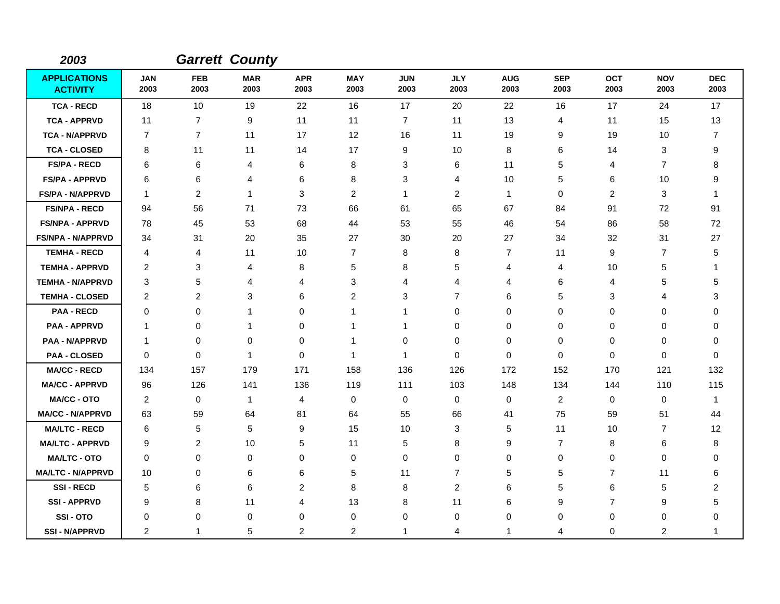| 2003                                   |                    |                    | <b>Garrett County</b> |                    |                    |                    |                    |                    |                    |                    |                    |                    |
|----------------------------------------|--------------------|--------------------|-----------------------|--------------------|--------------------|--------------------|--------------------|--------------------|--------------------|--------------------|--------------------|--------------------|
| <b>APPLICATIONS</b><br><b>ACTIVITY</b> | <b>JAN</b><br>2003 | <b>FEB</b><br>2003 | <b>MAR</b><br>2003    | <b>APR</b><br>2003 | <b>MAY</b><br>2003 | <b>JUN</b><br>2003 | <b>JLY</b><br>2003 | <b>AUG</b><br>2003 | <b>SEP</b><br>2003 | <b>OCT</b><br>2003 | <b>NOV</b><br>2003 | <b>DEC</b><br>2003 |
| <b>TCA - RECD</b>                      | 18                 | 10                 | 19                    | 22                 | 16                 | 17                 | 20                 | 22                 | 16                 | 17                 | 24                 | 17                 |
| <b>TCA - APPRVD</b>                    | 11                 | $\overline{7}$     | 9                     | 11                 | 11                 | $\overline{7}$     | 11                 | 13                 | 4                  | 11                 | 15                 | 13                 |
| <b>TCA - N/APPRVD</b>                  | $\overline{7}$     | $\overline{7}$     | 11                    | 17                 | 12                 | 16                 | 11                 | 19                 | 9                  | 19                 | 10                 | $\overline{7}$     |
| <b>TCA - CLOSED</b>                    | 8                  | 11                 | 11                    | 14                 | 17                 | 9                  | 10                 | 8                  | 6                  | 14                 | 3                  | 9                  |
| <b>FS/PA - RECD</b>                    | 6                  | 6                  | 4                     | 6                  | 8                  | 3                  | 6                  | 11                 | 5                  | 4                  | $\overline{7}$     | 8                  |
| FS/PA - APPRVD                         | 6                  | 6                  | 4                     | 6                  | 8                  | 3                  | 4                  | 10                 | 5                  | 6                  | 10                 | 9                  |
| <b>FS/PA - N/APPRVD</b>                | $\overline{1}$     | 2                  | $\mathbf{1}$          | 3                  | $\overline{2}$     | $\mathbf{1}$       | $\overline{2}$     | $\mathbf{1}$       | $\pmb{0}$          | $\overline{c}$     | 3                  | 1                  |
| <b>FS/NPA - RECD</b>                   | 94                 | 56                 | 71                    | 73                 | 66                 | 61                 | 65                 | 67                 | 84                 | 91                 | 72                 | 91                 |
| <b>FS/NPA - APPRVD</b>                 | 78                 | 45                 | 53                    | 68                 | 44                 | 53                 | 55                 | 46                 | 54                 | 86                 | 58                 | 72                 |
| <b>FS/NPA - N/APPRVD</b>               | 34                 | 31                 | 20                    | 35                 | 27                 | 30                 | 20                 | 27                 | 34                 | 32                 | 31                 | 27                 |
| <b>TEMHA - RECD</b>                    | 4                  | 4                  | 11                    | 10                 | $\overline{7}$     | 8                  | 8                  | 7                  | 11                 | 9                  | $\overline{7}$     | 5                  |
| <b>TEMHA - APPRVD</b>                  | $\overline{2}$     | 3                  | 4                     | 8                  | 5                  | 8                  | 5                  | 4                  | $\overline{4}$     | 10                 | $\sqrt{5}$         | 1                  |
| <b>TEMHA - N/APPRVD</b>                | 3                  | 5                  | 4                     | 4                  | 3                  | 4                  | 4                  | 4                  | 6                  | 4                  | 5                  | 5                  |
| <b>TEMHA - CLOSED</b>                  | $\overline{2}$     | $\overline{2}$     | 3                     | 6                  | 2                  | 3                  | $\overline{7}$     | 6                  | 5                  | 3                  | 4                  | 3                  |
| <b>PAA - RECD</b>                      | $\mathbf 0$        | $\mathbf 0$        | -1                    | 0                  | $\mathbf 1$        | 1                  | $\mathbf 0$        | 0                  | $\mathbf 0$        | 0                  | 0                  | 0                  |
| <b>PAA - APPRVD</b>                    | $\mathbf 1$        | 0                  | 1                     | 0                  | -1                 | 1                  | 0                  | 0                  | $\mathbf 0$        | 0                  | 0                  | 0                  |
| <b>PAA - N/APPRVD</b>                  | $\overline{1}$     | 0                  | 0                     | 0                  | -1                 | 0                  | 0                  | 0                  | 0                  | 0                  | $\mathbf 0$        | $\Omega$           |
| <b>PAA - CLOSED</b>                    | $\mathbf 0$        | 0                  | -1                    | 0                  | -1                 | -1                 | $\mathbf 0$        | $\mathbf 0$        | $\mathbf 0$        | 0                  | $\mathbf 0$        | 0                  |
| <b>MA/CC - RECD</b>                    | 134                | 157                | 179                   | 171                | 158                | 136                | 126                | 172                | 152                | 170                | 121                | 132                |
| <b>MA/CC - APPRVD</b>                  | 96                 | 126                | 141                   | 136                | 119                | 111                | 103                | 148                | 134                | 144                | 110                | 115                |
| <b>MA/CC - OTO</b>                     | 2                  | $\mathbf 0$        | $\overline{1}$        | 4                  | $\mathbf 0$        | $\mathbf 0$        | 0                  | 0                  | 2                  | 0                  | $\mathbf 0$        | -1                 |
| <b>MA/CC - N/APPRVD</b>                | 63                 | 59                 | 64                    | 81                 | 64                 | 55                 | 66                 | 41                 | 75                 | 59                 | 51                 | 44                 |
| <b>MA/LTC - RECD</b>                   | 6                  | 5                  | 5                     | 9                  | 15                 | 10                 | 3                  | 5                  | 11                 | 10                 | $\overline{7}$     | 12                 |
| <b>MA/LTC - APPRVD</b>                 | 9                  | $\overline{c}$     | 10                    | 5                  | 11                 | 5                  | 8                  | 9                  | $\overline{7}$     | 8                  | 6                  | 8                  |
| <b>MA/LTC - OTO</b>                    | 0                  | 0                  | 0                     | 0                  | 0                  | $\mathbf 0$        | 0                  | 0                  | $\pmb{0}$          | 0                  | 0                  | 0                  |
| <b>MA/LTC - N/APPRVD</b>               | 10                 | $\Omega$           | 6                     | 6                  | 5                  | 11                 | $\overline{7}$     | 5                  | 5                  | 7                  | 11                 | 6                  |
| <b>SSI-RECD</b>                        | 5                  | 6                  | 6                     | $\overline{c}$     | 8                  | 8                  | $\overline{c}$     | 6                  | 5                  | 6                  | 5                  | $\overline{c}$     |
| <b>SSI-APPRVD</b>                      | 9                  | 8                  | 11                    | 4                  | 13                 | 8                  | 11                 | 6                  | 9                  | $\overline{7}$     | 9                  | 5                  |
| SSI-OTO                                | 0                  | 0                  | $\mathbf 0$           | 0                  | 0                  | 0                  | 0                  | 0                  | 0                  | 0                  | $\mathbf 0$        | 0                  |
| <b>SSI - N/APPRVD</b>                  | $\overline{2}$     | 1                  | 5                     | $\overline{c}$     | $\overline{c}$     | 1                  | 4                  | 1                  | 4                  | 0                  | $\overline{c}$     | 1                  |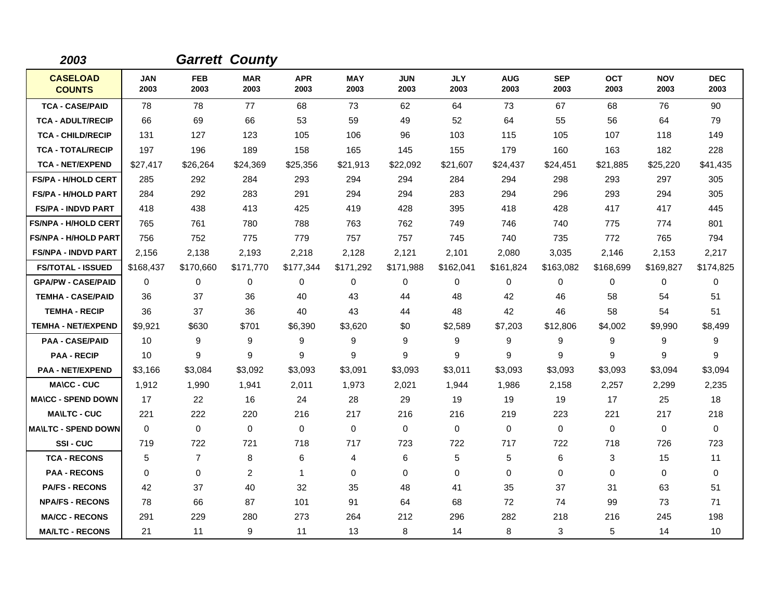| 2003                             |                    |                    | <b>Garrett County</b> |                    |                    |                    |                    |                    |                    |                    |                    |                    |
|----------------------------------|--------------------|--------------------|-----------------------|--------------------|--------------------|--------------------|--------------------|--------------------|--------------------|--------------------|--------------------|--------------------|
| <b>CASELOAD</b><br><b>COUNTS</b> | <b>JAN</b><br>2003 | <b>FEB</b><br>2003 | <b>MAR</b><br>2003    | <b>APR</b><br>2003 | <b>MAY</b><br>2003 | <b>JUN</b><br>2003 | <b>JLY</b><br>2003 | <b>AUG</b><br>2003 | <b>SEP</b><br>2003 | <b>OCT</b><br>2003 | <b>NOV</b><br>2003 | <b>DEC</b><br>2003 |
| <b>TCA - CASE/PAID</b>           | 78                 | 78                 | 77                    | 68                 | 73                 | 62                 | 64                 | 73                 | 67                 | 68                 | 76                 | 90                 |
| <b>TCA - ADULT/RECIP</b>         | 66                 | 69                 | 66                    | 53                 | 59                 | 49                 | 52                 | 64                 | 55                 | 56                 | 64                 | 79                 |
| <b>TCA - CHILD/RECIP</b>         | 131                | 127                | 123                   | 105                | 106                | 96                 | 103                | 115                | 105                | 107                | 118                | 149                |
| <b>TCA - TOTAL/RECIP</b>         | 197                | 196                | 189                   | 158                | 165                | 145                | 155                | 179                | 160                | 163                | 182                | 228                |
| <b>TCA - NET/EXPEND</b>          | \$27,417           | \$26,264           | \$24,369              | \$25,356           | \$21,913           | \$22,092           | \$21,607           | \$24,437           | \$24,451           | \$21,885           | \$25,220           | \$41,435           |
| <b>FS/PA - H/HOLD CERT</b>       | 285                | 292                | 284                   | 293                | 294                | 294                | 284                | 294                | 298                | 293                | 297                | 305                |
| <b>FS/PA - H/HOLD PART</b>       | 284                | 292                | 283                   | 291                | 294                | 294                | 283                | 294                | 296                | 293                | 294                | 305                |
| <b>FS/PA - INDVD PART</b>        | 418                | 438                | 413                   | 425                | 419                | 428                | 395                | 418                | 428                | 417                | 417                | 445                |
| <b>FS/NPA - H/HOLD CERT</b>      | 765                | 761                | 780                   | 788                | 763                | 762                | 749                | 746                | 740                | 775                | 774                | 801                |
| <b>FS/NPA - H/HOLD PART</b>      | 756                | 752                | 775                   | 779                | 757                | 757                | 745                | 740                | 735                | 772                | 765                | 794                |
| <b>FS/NPA - INDVD PART</b>       | 2,156              | 2,138              | 2,193                 | 2,218              | 2,128              | 2,121              | 2,101              | 2,080              | 3,035              | 2,146              | 2,153              | 2,217              |
| <b>FS/TOTAL - ISSUED</b>         | \$168,437          | \$170,660          | \$171,770             | \$177,344          | \$171,292          | \$171,988          | \$162,041          | \$161,824          | \$163,082          | \$168,699          | \$169,827          | \$174,825          |
| <b>GPA/PW - CASE/PAID</b>        | $\Omega$           | 0                  | 0                     | 0                  | 0                  | $\Omega$           | 0                  | 0                  | $\Omega$           | 0                  | 0                  | $\Omega$           |
| <b>TEMHA - CASE/PAID</b>         | 36                 | 37                 | 36                    | 40                 | 43                 | 44                 | 48                 | 42                 | 46                 | 58                 | 54                 | 51                 |
| <b>TEMHA - RECIP</b>             | 36                 | 37                 | 36                    | 40                 | 43                 | 44                 | 48                 | 42                 | 46                 | 58                 | 54                 | 51                 |
| <b>TEMHA - NET/EXPEND</b>        | \$9,921            | \$630              | \$701                 | \$6,390            | \$3,620            | \$0                | \$2,589            | \$7,203            | \$12,806           | \$4,002            | \$9,990            | \$8,499            |
| <b>PAA - CASE/PAID</b>           | 10                 | 9                  | 9                     | 9                  | 9                  | 9                  | 9                  | 9                  | 9                  | 9                  | 9                  | 9                  |
| <b>PAA - RECIP</b>               | 10                 | 9                  | 9                     | 9                  | 9                  | 9                  | 9                  | 9                  | 9                  | 9                  | 9                  | 9                  |
| <b>PAA - NET/EXPEND</b>          | \$3,166            | \$3,084            | \$3,092               | \$3,093            | \$3,091            | \$3,093            | \$3,011            | \$3,093            | \$3,093            | \$3,093            | \$3,094            | \$3,094            |
| <b>MA\CC - CUC</b>               | 1,912              | 1,990              | 1,941                 | 2,011              | 1,973              | 2,021              | 1,944              | 1,986              | 2,158              | 2,257              | 2,299              | 2,235              |
| <b>MA\CC - SPEND DOWN</b>        | 17                 | 22                 | 16                    | 24                 | 28                 | 29                 | 19                 | 19                 | 19                 | 17                 | 25                 | 18                 |
| <b>MA\LTC - CUC</b>              | 221                | 222                | 220                   | 216                | 217                | 216                | 216                | 219                | 223                | 221                | 217                | 218                |
| <b>MA\LTC - SPEND DOWN</b>       | $\mathbf 0$        | $\mathbf 0$        | $\mathbf 0$           | $\mathbf 0$        | $\mathbf 0$        | $\mathbf 0$        | $\mathbf 0$        | 0                  | $\mathbf 0$        | 0                  | 0                  | $\mathbf 0$        |
| SSI-CUC                          | 719                | 722                | 721                   | 718                | 717                | 723                | 722                | 717                | 722                | 718                | 726                | 723                |
| <b>TCA - RECONS</b>              | 5                  | $\overline{7}$     | 8                     | 6                  | 4                  | 6                  | 5                  | 5                  | 6                  | 3                  | 15                 | 11                 |
| <b>PAA - RECONS</b>              | 0                  | 0                  | $\overline{c}$        | $\mathbf{1}$       | 0                  | $\mathbf 0$        | $\mathbf 0$        | 0                  | $\mathbf 0$        | $\Omega$           | 0                  | $\mathbf 0$        |
| <b>PA/FS - RECONS</b>            | 42                 | 37                 | 40                    | 32                 | 35                 | 48                 | 41                 | 35                 | 37                 | 31                 | 63                 | 51                 |
| <b>NPA/FS - RECONS</b>           | 78                 | 66                 | 87                    | 101                | 91                 | 64                 | 68                 | 72                 | 74                 | 99                 | 73                 | 71                 |
| <b>MA/CC - RECONS</b>            | 291                | 229                | 280                   | 273                | 264                | 212                | 296                | 282                | 218                | 216                | 245                | 198                |
| <b>MA/LTC - RECONS</b>           | 21                 | 11                 | 9                     | 11                 | 13                 | 8                  | 14                 | 8                  | 3                  | 5                  | 14                 | 10                 |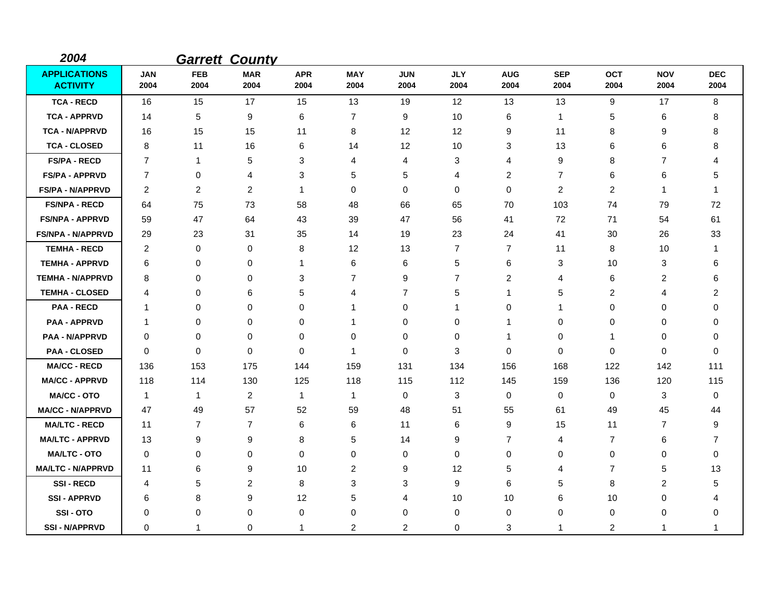| 2004                                   |                    |                    | <b>Garrett County</b> |                    |                    |                    |                    |                    |                    |                    |                    |                    |
|----------------------------------------|--------------------|--------------------|-----------------------|--------------------|--------------------|--------------------|--------------------|--------------------|--------------------|--------------------|--------------------|--------------------|
| <b>APPLICATIONS</b><br><b>ACTIVITY</b> | <b>JAN</b><br>2004 | <b>FEB</b><br>2004 | <b>MAR</b><br>2004    | <b>APR</b><br>2004 | <b>MAY</b><br>2004 | <b>JUN</b><br>2004 | <b>JLY</b><br>2004 | <b>AUG</b><br>2004 | <b>SEP</b><br>2004 | <b>OCT</b><br>2004 | <b>NOV</b><br>2004 | <b>DEC</b><br>2004 |
| <b>TCA - RECD</b>                      | 16                 | 15                 | 17                    | 15                 | 13                 | 19                 | 12                 | 13                 | 13                 | 9                  | 17                 | 8                  |
| <b>TCA - APPRVD</b>                    | 14                 | 5                  | 9                     | 6                  | 7                  | 9                  | 10                 | 6                  | $\mathbf 1$        | 5                  | 6                  | 8                  |
| <b>TCA - N/APPRVD</b>                  | 16                 | 15                 | 15                    | 11                 | 8                  | 12                 | 12                 | 9                  | 11                 | 8                  | 9                  | 8                  |
| <b>TCA - CLOSED</b>                    | 8                  | 11                 | 16                    | 6                  | 14                 | 12                 | 10                 | 3                  | 13                 | 6                  | 6                  | 8                  |
| <b>FS/PA - RECD</b>                    | $\overline{7}$     | -1                 | $\,$ 5 $\,$           | 3                  | 4                  | 4                  | 3                  | 4                  | 9                  | 8                  | 7                  | 4                  |
| <b>FS/PA - APPRVD</b>                  | 7                  | 0                  | 4                     | 3                  | 5                  | 5                  | 4                  | $\overline{c}$     | $\overline{7}$     | 6                  | 6                  | 5                  |
| <b>FS/PA - N/APPRVD</b>                | $\overline{2}$     | $\overline{c}$     | $\overline{2}$        | 1                  | $\pmb{0}$          | 0                  | $\mathbf 0$        | $\mathbf 0$        | $\overline{2}$     | $\overline{c}$     | 1                  | -1                 |
| <b>FS/NPA - RECD</b>                   | 64                 | 75                 | 73                    | 58                 | 48                 | 66                 | 65                 | 70                 | 103                | 74                 | 79                 | 72                 |
| <b>FS/NPA - APPRVD</b>                 | 59                 | 47                 | 64                    | 43                 | 39                 | 47                 | 56                 | 41                 | 72                 | 71                 | 54                 | 61                 |
| <b>FS/NPA - N/APPRVD</b>               | 29                 | 23                 | 31                    | 35                 | 14                 | 19                 | 23                 | 24                 | 41                 | 30                 | 26                 | 33                 |
| <b>TEMHA - RECD</b>                    | 2                  | 0                  | 0                     | 8                  | 12                 | 13                 | $\overline{7}$     | 7                  | 11                 | 8                  | 10                 | -1                 |
| <b>TEMHA - APPRVD</b>                  | 6                  | 0                  | $\mathbf 0$           | 1                  | 6                  | 6                  | 5                  | 6                  | 3                  | 10                 | 3                  | 6                  |
| <b>TEMHA - N/APPRVD</b>                | 8                  | 0                  | 0                     | 3                  | 7                  | 9                  | $\overline{7}$     | 2                  | 4                  | 6                  | 2                  | 6                  |
| <b>TEMHA - CLOSED</b>                  | 4                  | 0                  | 6                     | 5                  | 4                  | $\overline{7}$     | 5                  | $\mathbf{1}$       | 5                  | $\overline{c}$     | 4                  | $\overline{c}$     |
| <b>PAA - RECD</b>                      | -1                 | 0                  | $\mathbf 0$           | 0                  | -1                 | 0                  | 1                  | 0                  | 1                  | 0                  | $\Omega$           | 0                  |
| <b>PAA - APPRVD</b>                    | -1                 | 0                  | $\mathbf 0$           | 0                  | $\mathbf 1$        | 0                  | 0                  | -1                 | 0                  | 0                  | 0                  | 0                  |
| <b>PAA - N/APPRVD</b>                  | 0                  | 0                  | $\mathbf 0$           | 0                  | $\mathbf 0$        | 0                  | $\mathbf 0$        | 1                  | 0                  | 1                  | 0                  | 0                  |
| <b>PAA - CLOSED</b>                    | 0                  | 0                  | 0                     | 0                  | $\mathbf 1$        | 0                  | 3                  | 0                  | 0                  | 0                  | 0                  | 0                  |
| <b>MA/CC - RECD</b>                    | 136                | 153                | 175                   | 144                | 159                | 131                | 134                | 156                | 168                | 122                | 142                | 111                |
| <b>MA/CC - APPRVD</b>                  | 118                | 114                | 130                   | 125                | 118                | 115                | 112                | 145                | 159                | 136                | 120                | 115                |
| <b>MA/CC - OTO</b>                     | $\mathbf{1}$       | 1                  | $\overline{2}$        | $\mathbf{1}$       | $\mathbf{1}$       | 0                  | 3                  | 0                  | $\mathbf 0$        | $\mathbf 0$        | 3                  | 0                  |
| <b>MA/CC - N/APPRVD</b>                | 47                 | 49                 | 57                    | 52                 | 59                 | 48                 | 51                 | 55                 | 61                 | 49                 | 45                 | 44                 |
| <b>MA/LTC - RECD</b>                   | 11                 | 7                  | $\overline{7}$        | 6                  | 6                  | 11                 | 6                  | 9                  | 15                 | 11                 | $\overline{7}$     | 9                  |
| <b>MA/LTC - APPRVD</b>                 | 13                 | 9                  | 9                     | 8                  | 5                  | 14                 | 9                  | $\overline{7}$     | 4                  | $\overline{7}$     | 6                  | 7                  |
| <b>MA/LTC - OTO</b>                    | 0                  | 0                  | $\mathbf 0$           | 0                  | $\pmb{0}$          | 0                  | 0                  | 0                  | 0                  | 0                  | 0                  | $\mathbf 0$        |
| <b>MA/LTC - N/APPRVD</b>               | 11                 | 6                  | 9                     | 10                 | $\overline{2}$     | 9                  | 12                 | 5                  | 4                  | 7                  | 5                  | 13                 |
| <b>SSI-RECD</b>                        | 4                  | 5                  | $\overline{2}$        | 8                  | 3                  | 3                  | 9                  | 6                  | 5                  | 8                  | 2                  | 5                  |
| <b>SSI-APPRVD</b>                      | 6                  | 8                  | 9                     | 12                 | 5                  | 4                  | 10                 | 10                 | 6                  | 10                 | 0                  | 4                  |
| <b>SSI-OTO</b>                         | 0                  | 0                  | 0                     | 0                  | 0                  | 0                  | 0                  | 0                  | 0                  | 0                  | 0                  | 0                  |
| <b>SSI-N/APPRVD</b>                    | $\Omega$           | 1                  | $\mathbf 0$           | 1                  | 2                  | 2                  | $\Omega$           | 3                  | 1                  | 2                  | -1                 | 1                  |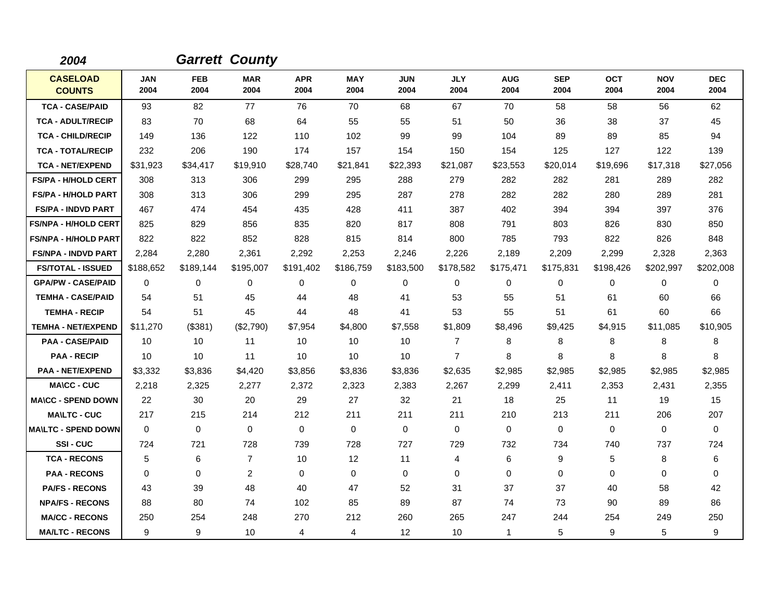| 2004                             |                    |                    | <b>Garrett County</b> |                    |                    |                    |                    |                    |                    |                    |                    |                    |
|----------------------------------|--------------------|--------------------|-----------------------|--------------------|--------------------|--------------------|--------------------|--------------------|--------------------|--------------------|--------------------|--------------------|
| <b>CASELOAD</b><br><b>COUNTS</b> | <b>JAN</b><br>2004 | <b>FEB</b><br>2004 | <b>MAR</b><br>2004    | <b>APR</b><br>2004 | <b>MAY</b><br>2004 | <b>JUN</b><br>2004 | <b>JLY</b><br>2004 | <b>AUG</b><br>2004 | <b>SEP</b><br>2004 | <b>OCT</b><br>2004 | <b>NOV</b><br>2004 | <b>DEC</b><br>2004 |
| <b>TCA - CASE/PAID</b>           | 93                 | 82                 | 77                    | 76                 | 70                 | 68                 | 67                 | 70                 | 58                 | 58                 | 56                 | 62                 |
| <b>TCA - ADULT/RECIP</b>         | 83                 | 70                 | 68                    | 64                 | 55                 | 55                 | 51                 | 50                 | 36                 | 38                 | 37                 | 45                 |
| <b>TCA - CHILD/RECIP</b>         | 149                | 136                | 122                   | 110                | 102                | 99                 | 99                 | 104                | 89                 | 89                 | 85                 | 94                 |
| <b>TCA - TOTAL/RECIP</b>         | 232                | 206                | 190                   | 174                | 157                | 154                | 150                | 154                | 125                | 127                | 122                | 139                |
| <b>TCA - NET/EXPEND</b>          | \$31,923           | \$34,417           | \$19,910              | \$28,740           | \$21,841           | \$22,393           | \$21,087           | \$23,553           | \$20,014           | \$19,696           | \$17,318           | \$27,056           |
| <b>FS/PA - H/HOLD CERT</b>       | 308                | 313                | 306                   | 299                | 295                | 288                | 279                | 282                | 282                | 281                | 289                | 282                |
| <b>FS/PA - H/HOLD PART</b>       | 308                | 313                | 306                   | 299                | 295                | 287                | 278                | 282                | 282                | 280                | 289                | 281                |
| <b>FS/PA - INDVD PART</b>        | 467                | 474                | 454                   | 435                | 428                | 411                | 387                | 402                | 394                | 394                | 397                | 376                |
| <b>FS/NPA - H/HOLD CERT</b>      | 825                | 829                | 856                   | 835                | 820                | 817                | 808                | 791                | 803                | 826                | 830                | 850                |
| <b>FS/NPA - H/HOLD PART</b>      | 822                | 822                | 852                   | 828                | 815                | 814                | 800                | 785                | 793                | 822                | 826                | 848                |
| <b>FS/NPA - INDVD PART</b>       | 2,284              | 2,280              | 2,361                 | 2,292              | 2,253              | 2,246              | 2,226              | 2,189              | 2,209              | 2,299              | 2,328              | 2,363              |
| <b>FS/TOTAL - ISSUED</b>         | \$188,652          | \$189,144          | \$195,007             | \$191,402          | \$186,759          | \$183,500          | \$178,582          | \$175,471          | \$175,831          | \$198,426          | \$202,997          | \$202,008          |
| <b>GPA/PW - CASE/PAID</b>        | $\mathbf 0$        | 0                  | 0                     | 0                  | 0                  | 0                  | 0                  | 0                  | 0                  | 0                  | $\mathbf 0$        | 0                  |
| <b>TEMHA - CASE/PAID</b>         | 54                 | 51                 | 45                    | 44                 | 48                 | 41                 | 53                 | 55                 | 51                 | 61                 | 60                 | 66                 |
| <b>TEMHA - RECIP</b>             | 54                 | 51                 | 45                    | 44                 | 48                 | 41                 | 53                 | 55                 | 51                 | 61                 | 60                 | 66                 |
| <b>TEMHA - NET/EXPEND</b>        | \$11,270           | (\$381)            | (\$2,790)             | \$7,954            | \$4,800            | \$7,558            | \$1,809            | \$8,496            | \$9,425            | \$4,915            | \$11,085           | \$10,905           |
| <b>PAA - CASE/PAID</b>           | 10                 | 10                 | 11                    | 10                 | 10                 | 10                 | $\overline{7}$     | 8                  | 8                  | 8                  | 8                  | 8                  |
| <b>PAA - RECIP</b>               | 10                 | 10                 | 11                    | 10                 | 10                 | 10                 | $\overline{7}$     | 8                  | 8                  | 8                  | 8                  | 8                  |
| <b>PAA - NET/EXPEND</b>          | \$3,332            | \$3,836            | \$4,420               | \$3,856            | \$3,836            | \$3,836            | \$2,635            | \$2,985            | \$2,985            | \$2,985            | \$2,985            | \$2,985            |
| <b>MA\CC - CUC</b>               | 2,218              | 2,325              | 2,277                 | 2,372              | 2,323              | 2,383              | 2,267              | 2,299              | 2,411              | 2,353              | 2,431              | 2,355              |
| <b>MA\CC - SPEND DOWN</b>        | 22                 | 30                 | 20                    | 29                 | 27                 | 32                 | 21                 | 18                 | 25                 | 11                 | 19                 | 15                 |
| <b>MAILTC - CUC</b>              | 217                | 215                | 214                   | 212                | 211                | 211                | 211                | 210                | 213                | 211                | 206                | 207                |
| <b>MAILTC - SPEND DOWN</b>       | $\Omega$           | $\mathbf 0$        | $\mathbf 0$           | 0                  | $\mathbf 0$        | $\mathbf 0$        | $\mathbf 0$        | $\mathbf 0$        | $\Omega$           | $\Omega$           | $\mathbf 0$        | $\mathbf 0$        |
| SSI-CUC                          | 724                | 721                | 728                   | 739                | 728                | 727                | 729                | 732                | 734                | 740                | 737                | 724                |
| <b>TCA - RECONS</b>              | 5                  | 6                  | $\overline{7}$        | 10                 | 12                 | 11                 | 4                  | 6                  | 9                  | 5                  | 8                  | 6                  |
| <b>PAA - RECONS</b>              | $\Omega$           | 0                  | $\overline{2}$        | $\Omega$           | 0                  | $\Omega$           | $\Omega$           | 0                  | $\Omega$           | $\Omega$           | 0                  | 0                  |
| <b>PA/FS - RECONS</b>            | 43                 | 39                 | 48                    | 40                 | 47                 | 52                 | 31                 | 37                 | 37                 | 40                 | 58                 | 42                 |
| <b>NPA/FS - RECONS</b>           | 88                 | 80                 | 74                    | 102                | 85                 | 89                 | 87                 | 74                 | 73                 | 90                 | 89                 | 86                 |
| <b>MA/CC - RECONS</b>            | 250                | 254                | 248                   | 270                | 212                | 260                | 265                | 247                | 244                | 254                | 249                | 250                |
| <b>MA/LTC - RECONS</b>           | 9                  | 9                  | 10                    | 4                  | 4                  | 12                 | 10                 | $\mathbf{1}$       | 5                  | 9                  | 5                  | 9                  |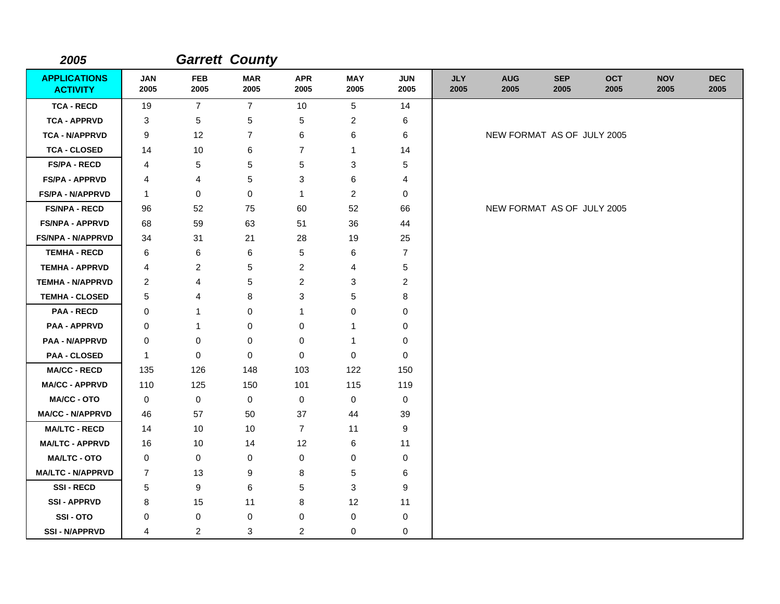| 2005                                   |                    |                    | <b>Garrett County</b> |                    |                    |                    |                    |                            |                    |                    |                    |                    |
|----------------------------------------|--------------------|--------------------|-----------------------|--------------------|--------------------|--------------------|--------------------|----------------------------|--------------------|--------------------|--------------------|--------------------|
| <b>APPLICATIONS</b><br><b>ACTIVITY</b> | <b>JAN</b><br>2005 | <b>FEB</b><br>2005 | <b>MAR</b><br>2005    | <b>APR</b><br>2005 | <b>MAY</b><br>2005 | <b>JUN</b><br>2005 | <b>JLY</b><br>2005 | <b>AUG</b><br>2005         | <b>SEP</b><br>2005 | <b>OCT</b><br>2005 | <b>NOV</b><br>2005 | <b>DEC</b><br>2005 |
| <b>TCA - RECD</b>                      | 19                 | $\overline{7}$     | $\overline{7}$        | 10                 | 5                  | 14                 |                    |                            |                    |                    |                    |                    |
| <b>TCA - APPRVD</b>                    | 3                  | 5                  | 5                     | 5                  | 2                  | 6                  |                    |                            |                    |                    |                    |                    |
| <b>TCA - N/APPRVD</b>                  | 9                  | 12                 | $\overline{7}$        | 6                  | 6                  | 6                  |                    | NEW FORMAT AS OF JULY 2005 |                    |                    |                    |                    |
| <b>TCA - CLOSED</b>                    | 14                 | 10                 | 6                     | $\overline{7}$     | 1                  | 14                 |                    |                            |                    |                    |                    |                    |
| <b>FS/PA - RECD</b>                    | 4                  | 5                  | 5                     | 5                  | 3                  | 5                  |                    |                            |                    |                    |                    |                    |
| <b>FS/PA - APPRVD</b>                  | 4                  | 4                  | 5                     | 3                  | 6                  | 4                  |                    |                            |                    |                    |                    |                    |
| <b>FS/PA - N/APPRVD</b>                | $\mathbf{1}$       | 0                  | $\mathbf 0$           | $\mathbf{1}$       | $\overline{2}$     | 0                  |                    |                            |                    |                    |                    |                    |
| <b>FS/NPA - RECD</b>                   | 96                 | 52                 | 75                    | 60                 | 52                 | 66                 |                    | NEW FORMAT AS OF JULY 2005 |                    |                    |                    |                    |
| <b>FS/NPA - APPRVD</b>                 | 68                 | 59                 | 63                    | 51                 | 36                 | 44                 |                    |                            |                    |                    |                    |                    |
| <b>FS/NPA - N/APPRVD</b>               | 34                 | 31                 | 21                    | 28                 | 19                 | 25                 |                    |                            |                    |                    |                    |                    |
| <b>TEMHA - RECD</b>                    | 6                  | 6                  | 6                     | 5                  | 6                  | $\overline{7}$     |                    |                            |                    |                    |                    |                    |
| <b>TEMHA - APPRVD</b>                  | 4                  | 2                  | 5                     | $\overline{c}$     | 4                  | 5                  |                    |                            |                    |                    |                    |                    |
| <b>TEMHA - N/APPRVD</b>                | 2                  | 4                  | 5                     | $\overline{c}$     | 3                  | $\overline{c}$     |                    |                            |                    |                    |                    |                    |
| <b>TEMHA - CLOSED</b>                  | 5                  | 4                  | 8                     | 3                  | 5                  | 8                  |                    |                            |                    |                    |                    |                    |
| <b>PAA - RECD</b>                      | 0                  | 1                  | $\mathbf 0$           | 1                  | 0                  | 0                  |                    |                            |                    |                    |                    |                    |
| <b>PAA - APPRVD</b>                    | 0                  | 1                  | 0                     | 0                  | 1                  | 0                  |                    |                            |                    |                    |                    |                    |
| PAA - N/APPRVD                         | 0                  | 0                  | $\Omega$              | 0                  | -1                 | 0                  |                    |                            |                    |                    |                    |                    |
| <b>PAA - CLOSED</b>                    | $\mathbf{1}$       | $\mathbf 0$        | $\mathbf 0$           | 0                  | $\mathbf 0$        | $\mathbf 0$        |                    |                            |                    |                    |                    |                    |
| <b>MA/CC - RECD</b>                    | 135                | 126                | 148                   | 103                | 122                | 150                |                    |                            |                    |                    |                    |                    |
| <b>MA/CC - APPRVD</b>                  | 110                | 125                | 150                   | 101                | 115                | 119                |                    |                            |                    |                    |                    |                    |
| <b>MA/CC - OTO</b>                     | 0                  | 0                  | $\mathbf 0$           | 0                  | 0                  | 0                  |                    |                            |                    |                    |                    |                    |
| <b>MA/CC - N/APPRVD</b>                | 46                 | 57                 | 50                    | 37                 | 44                 | 39                 |                    |                            |                    |                    |                    |                    |
| <b>MA/LTC - RECD</b>                   | 14                 | 10                 | 10                    | $\overline{7}$     | 11                 | 9                  |                    |                            |                    |                    |                    |                    |
| <b>MA/LTC - APPRVD</b>                 | 16                 | 10                 | 14                    | 12                 | 6                  | 11                 |                    |                            |                    |                    |                    |                    |
| <b>MA/LTC - OTO</b>                    | 0                  | 0                  | $\mathbf 0$           | 0                  | 0                  | 0                  |                    |                            |                    |                    |                    |                    |
| <b>MA/LTC - N/APPRVD</b>               | 7                  | 13                 | 9                     | 8                  | 5                  | 6                  |                    |                            |                    |                    |                    |                    |
| <b>SSI-RECD</b>                        | 5                  | 9                  | 6                     | 5                  | 3                  | 9                  |                    |                            |                    |                    |                    |                    |
| <b>SSI - APPRVD</b>                    | 8                  | 15                 | 11                    | 8                  | 12                 | 11                 |                    |                            |                    |                    |                    |                    |
| SSI-OTO                                | 0                  | 0                  | 0                     | 0                  | $\mathbf 0$        | 0                  |                    |                            |                    |                    |                    |                    |
| <b>SSI - N/APPRVD</b>                  | 4                  | $\overline{c}$     | 3                     | 2                  | 0                  | 0                  |                    |                            |                    |                    |                    |                    |